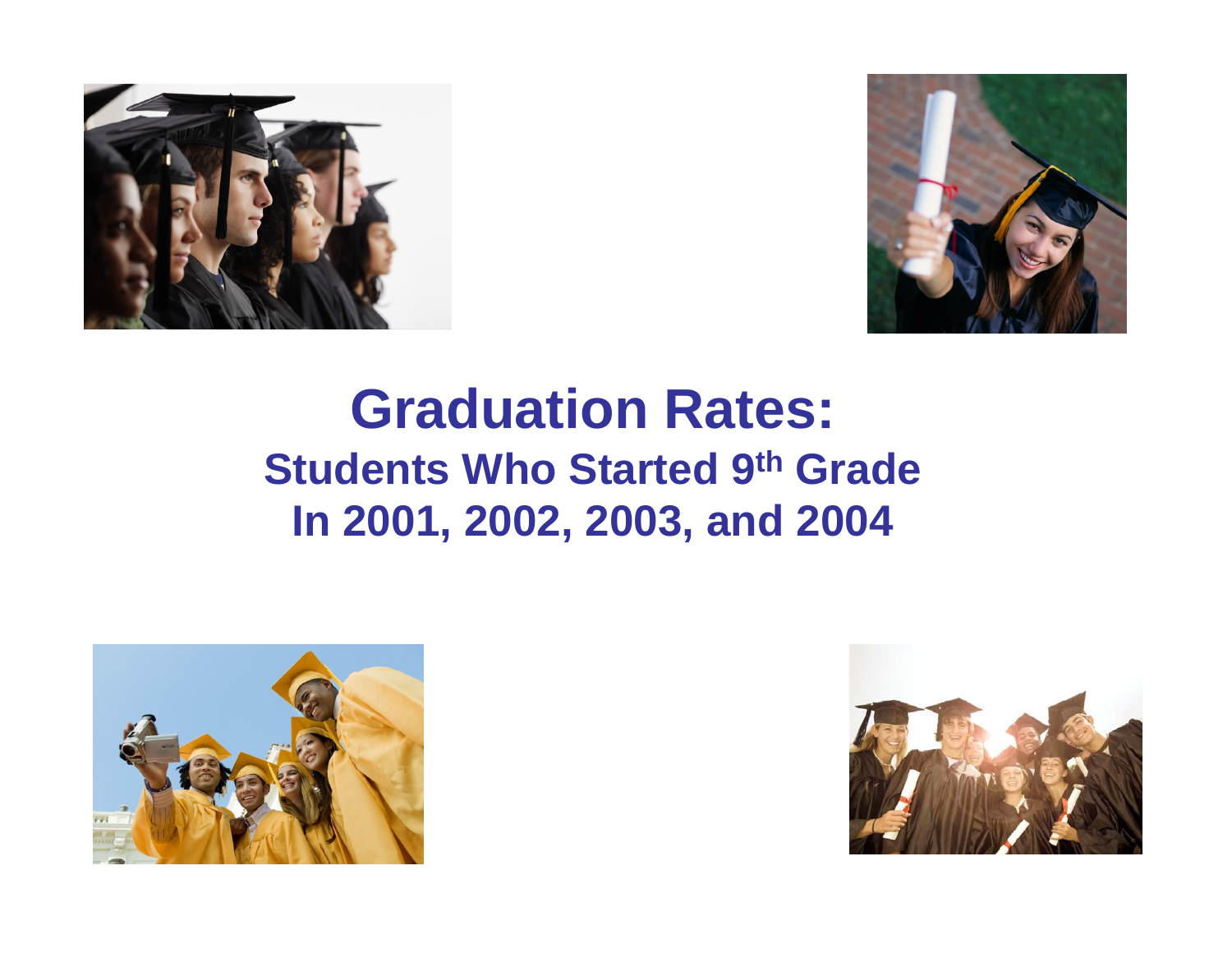



# **Graduation Rates: Students Who Started 9th GradeIn 2001, 2002, 2003, and 2004**



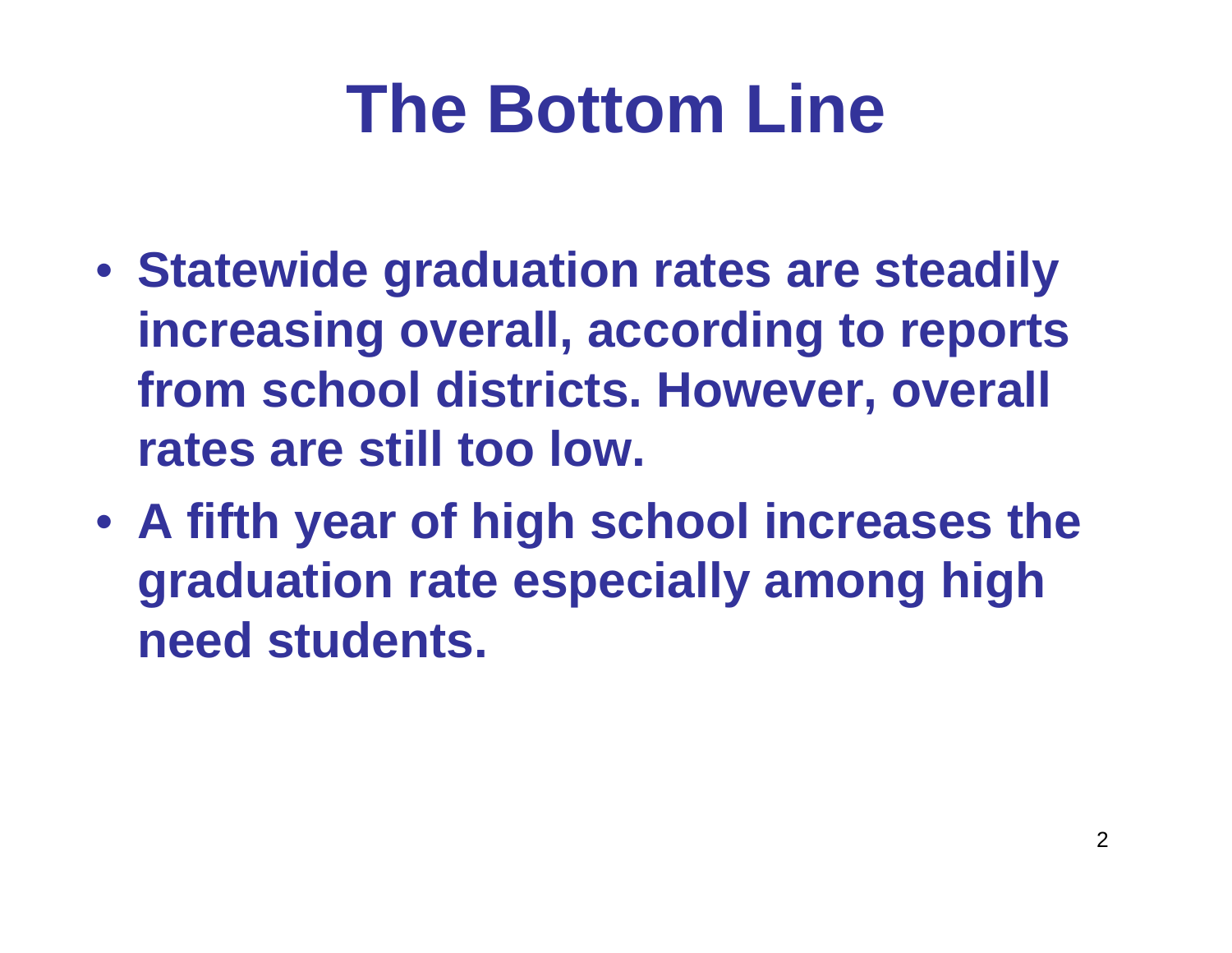# **The Bottom Line**

- **Statewide graduation rates are steadily increasing overall, according to reports from school districts. However, overall rates are still too low.**
- **A fifth year of high school increases the graduation rate especially among high need students.**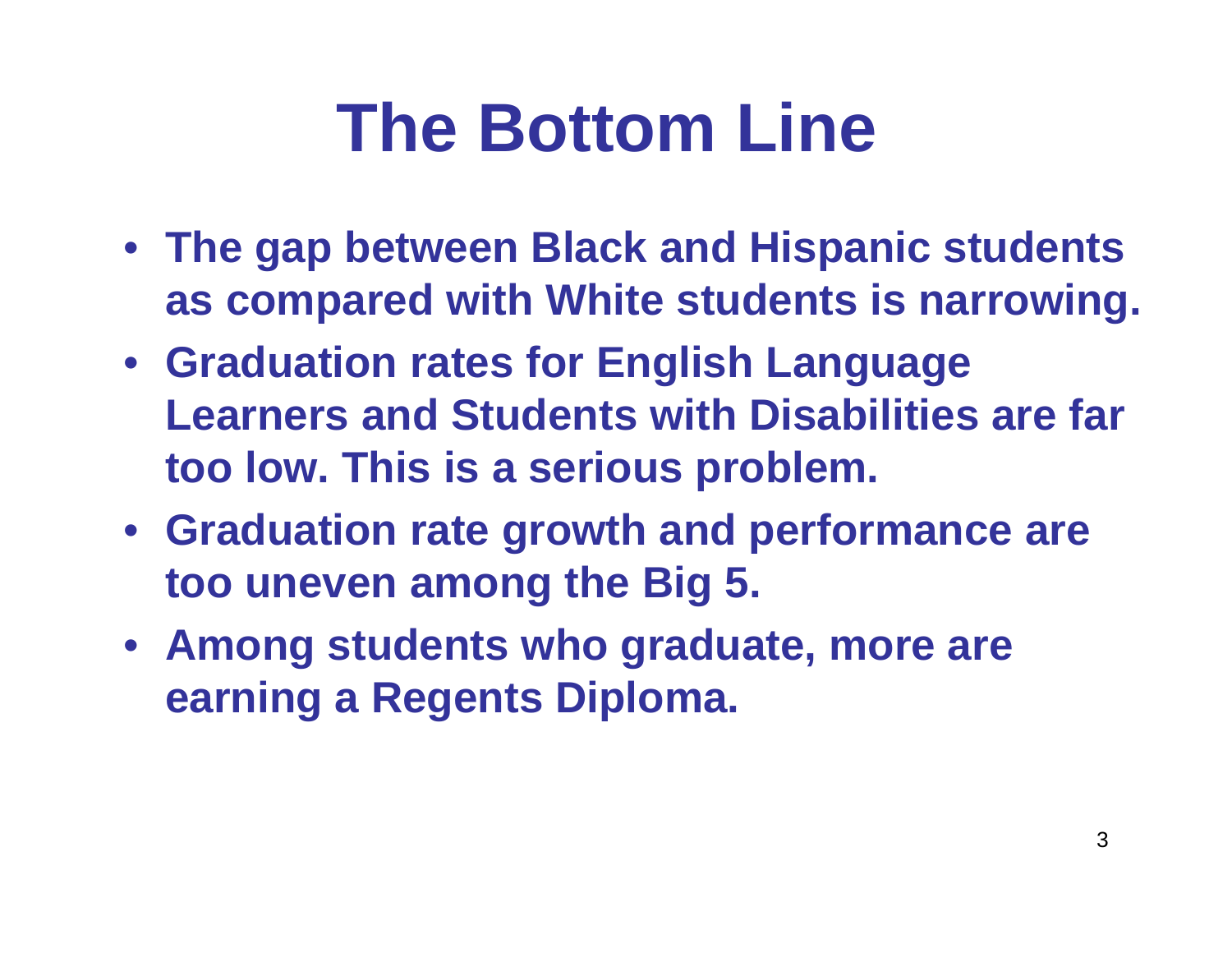# **The Bottom Line**

- **The gap between Black and Hispanic students as compared with White students is narrowing.**
- **Graduation rates for English Language Learners and Students with Disabilities are far too low. This is a serious problem.**
- **Graduation rate growth and performance are too uneven among the Big 5.**
- **Among students who graduate, more are earning a Regents Diploma.**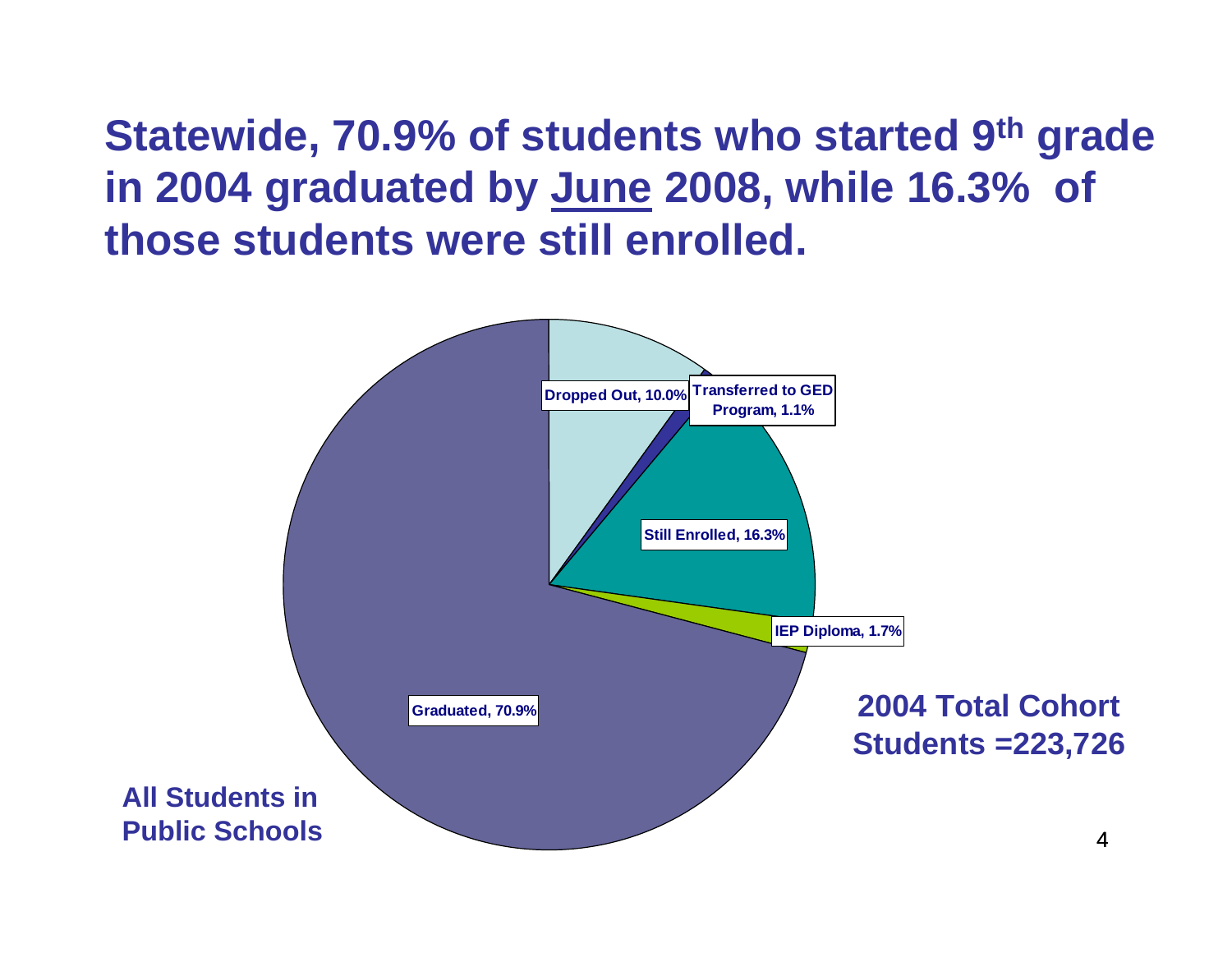**Statewide, 70.9% of students who started 9th grade in 2004 graduated by June 2008, while 16.3% of those students were still enrolled.**

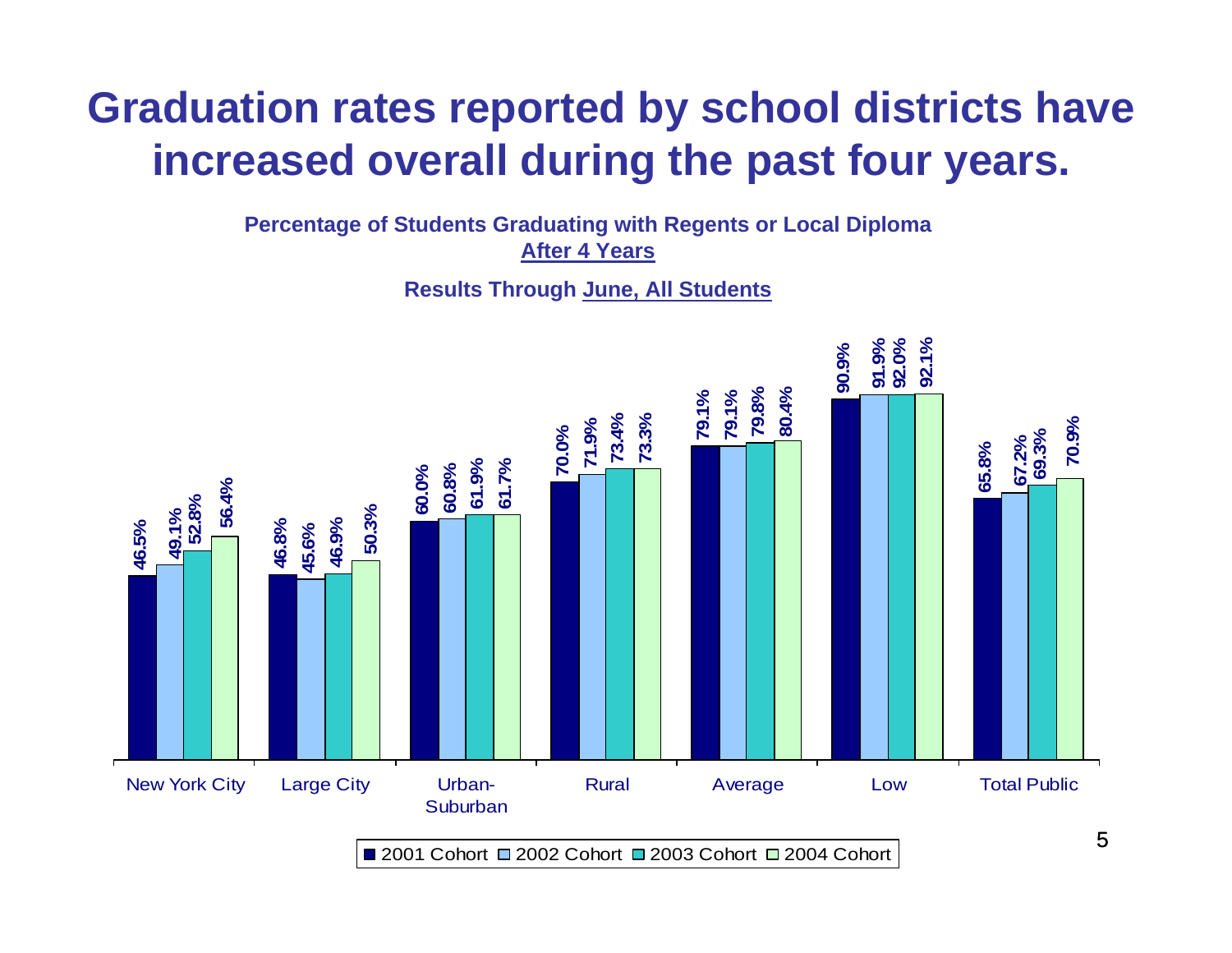# **Graduation rates reported by school districts have increased overall during the past four years.**

**Percentage of Students Graduating with Regents or Local Diploma After 4 Years**

**Results Through June, All Students**



2001 Cohort □ 2002 Cohort □ 2003 Cohort □ 2004 Cohort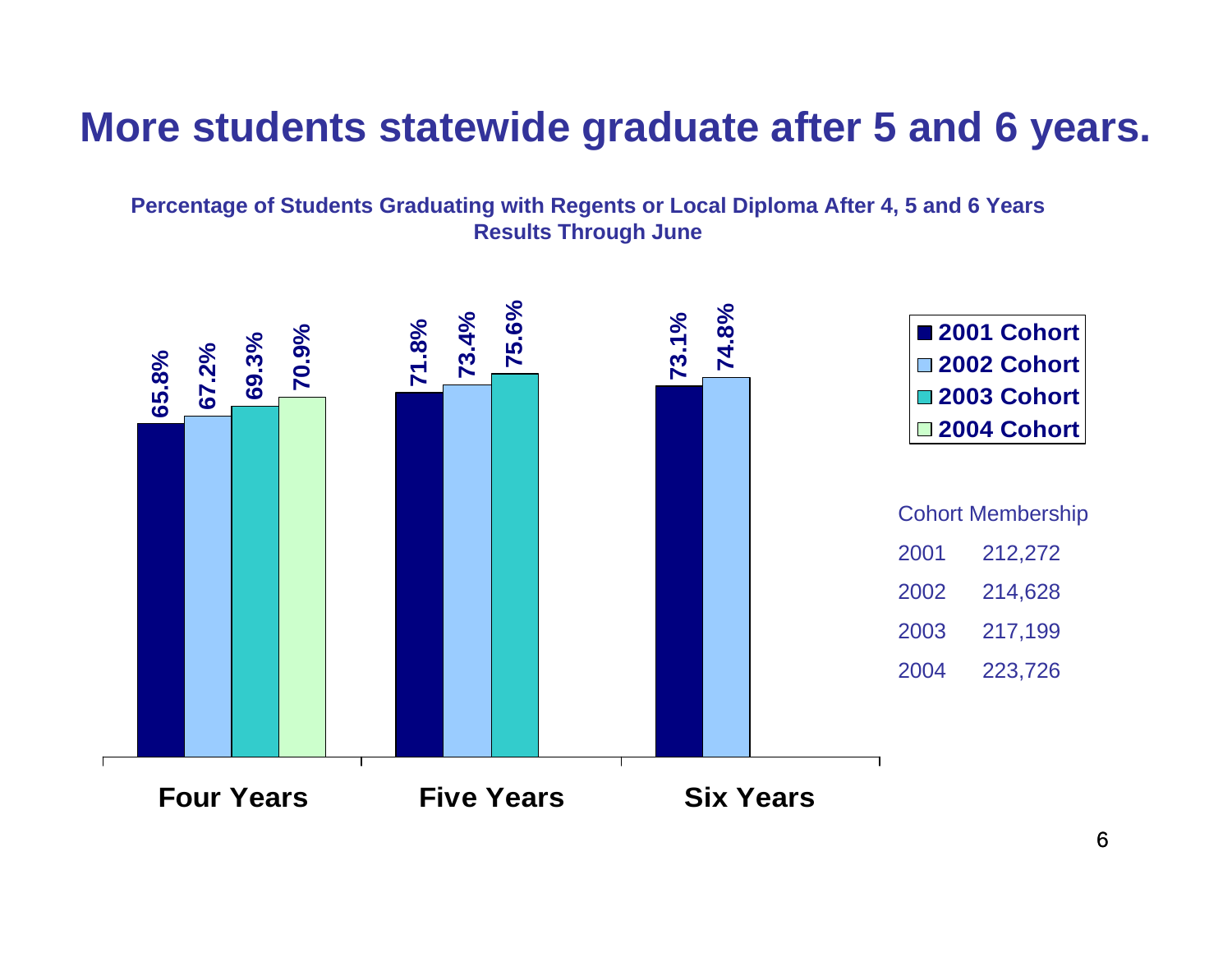## **More students statewide graduate after 5 and 6 years.**

**Percentage of Students Graduating with Regents or Local Diploma After 4, 5 and 6 Years Results Through June**

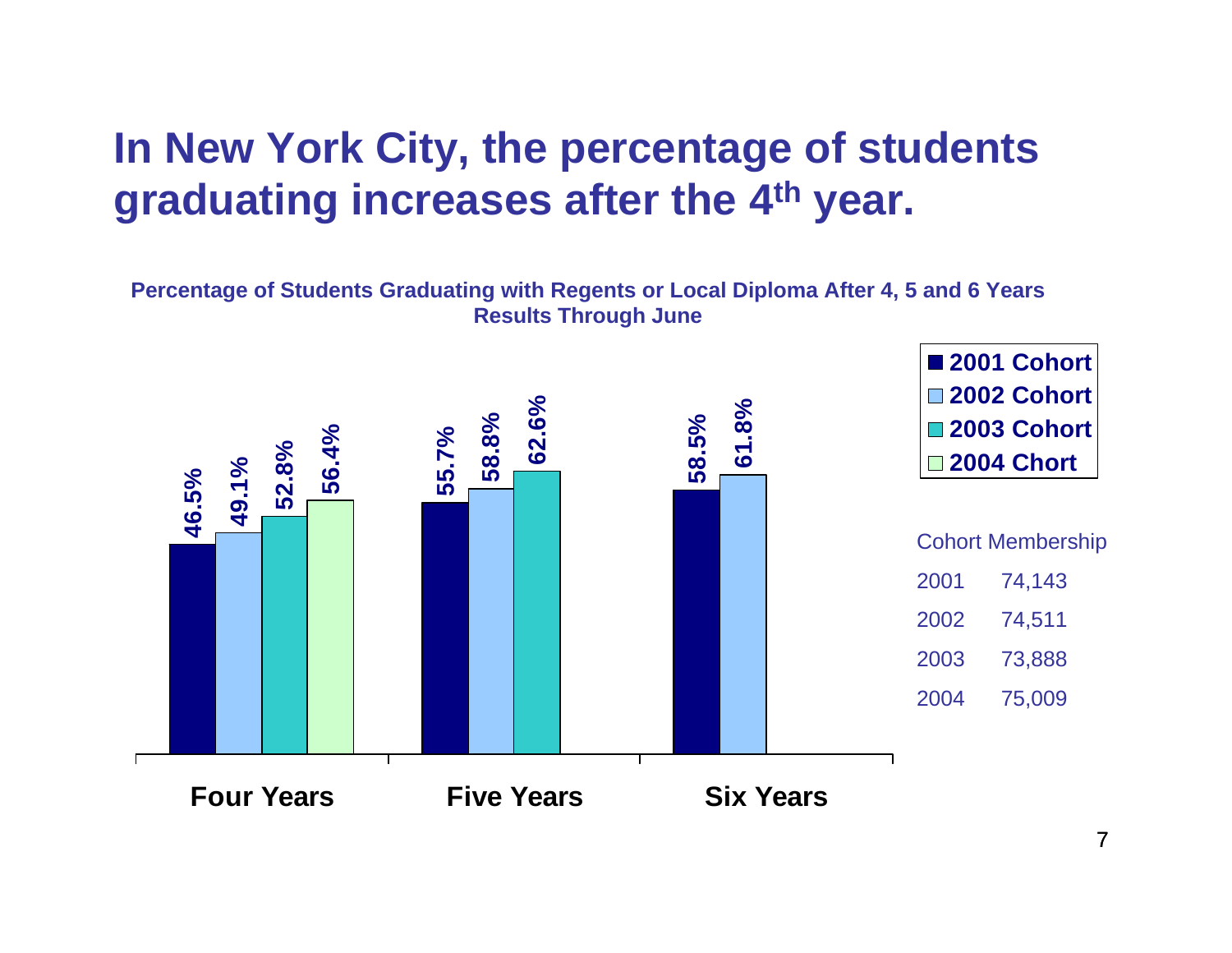## **In New York City, the percentage of students graduating increases after the 4th year.**

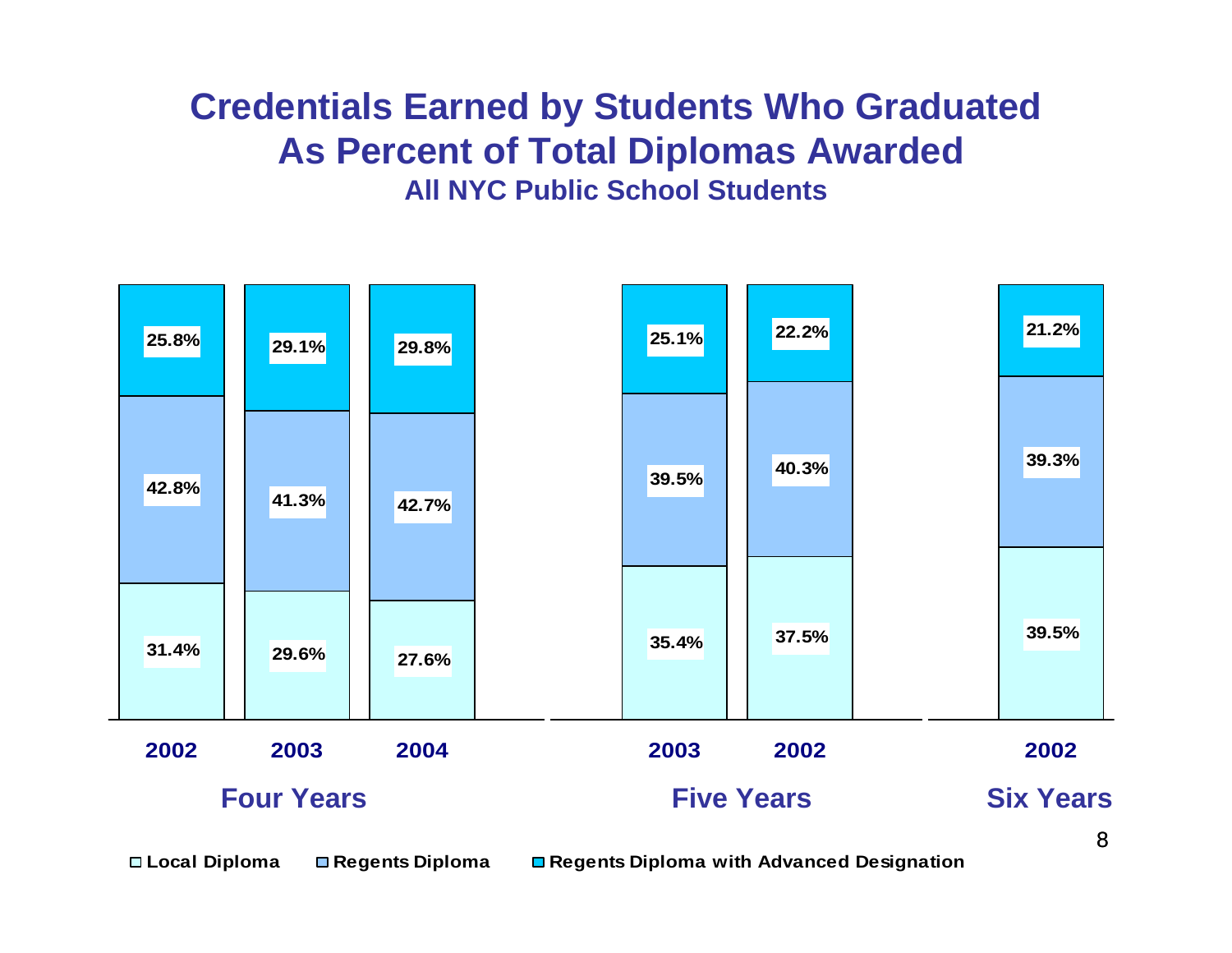### **Credentials Earned by Students Who Graduated As Percent of Total Diplomas Awarded All NYC Public School Students**



**Local Diploma Regents Diploma Regents Diploma with Advanced Designation** 

8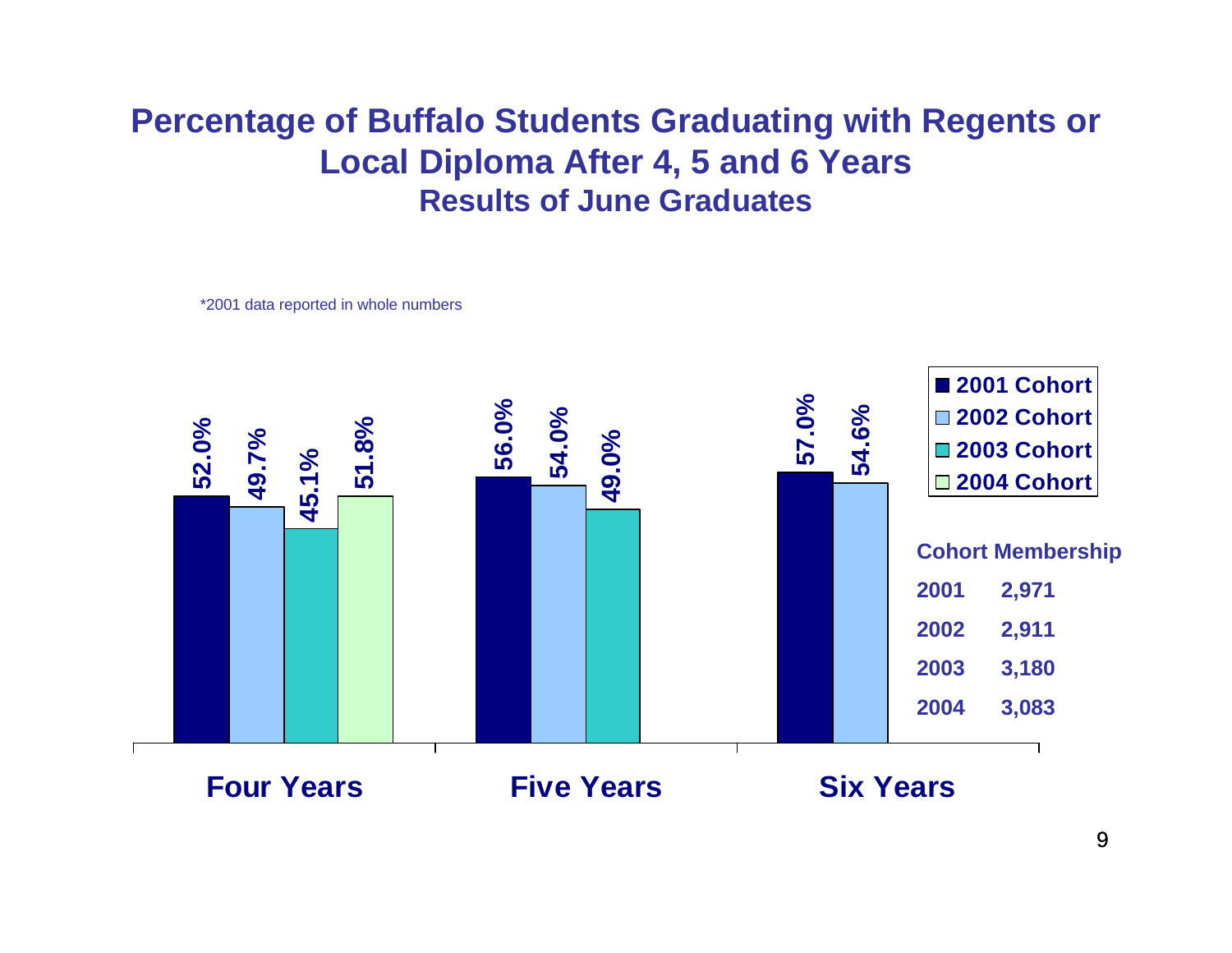### **Percentage of Buffalo Students Graduating with Regents or Local Diploma After 4, 5 and 6 Years Results of June Graduates**

\*2001 data reported in whole numbers

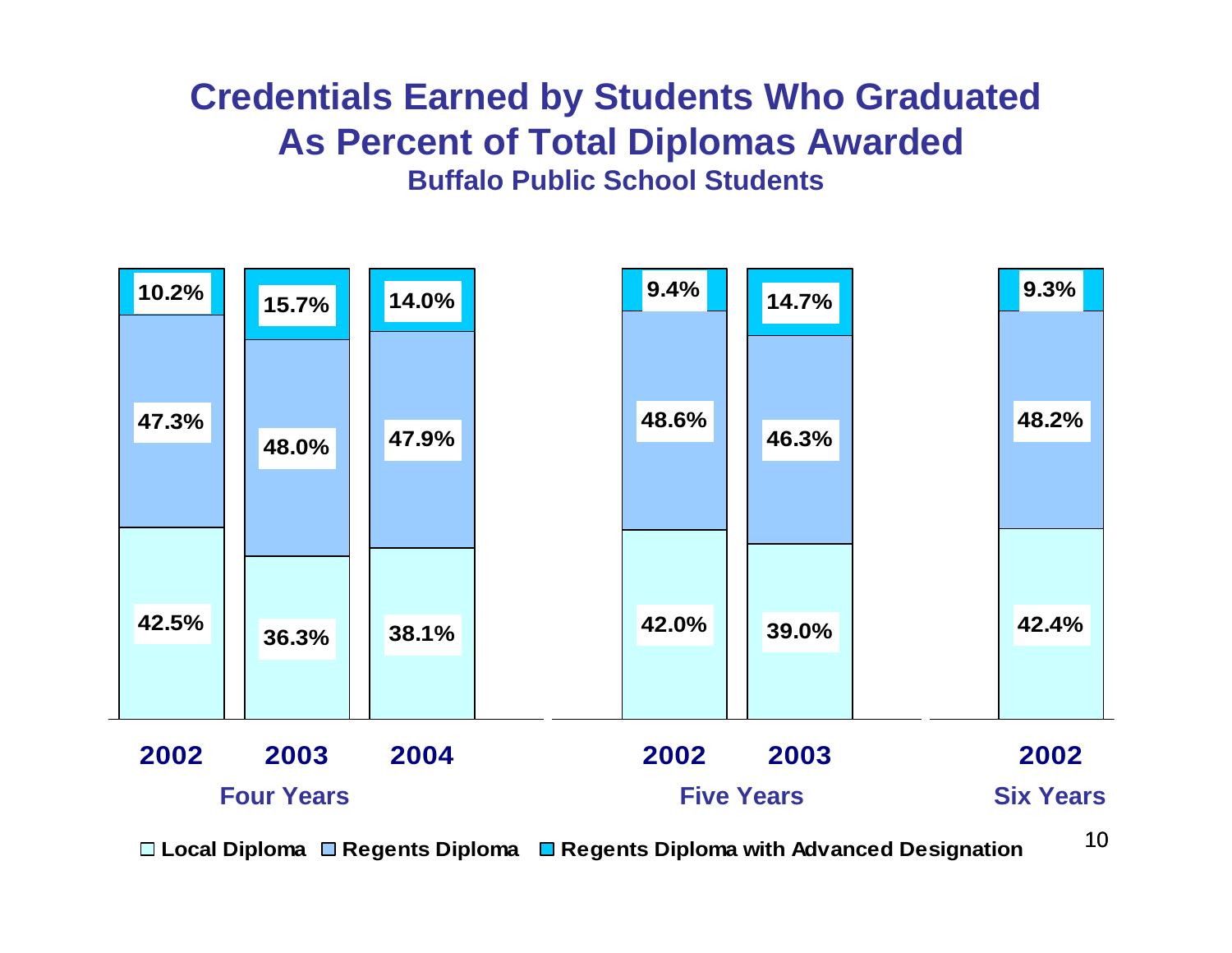## **Credentials Earned by Students Who Graduated As Percent of Total Diplomas Awarded Buffalo Public School Students**



**Local Diploma Regents Diploma Regents Diploma with Advanced Designation**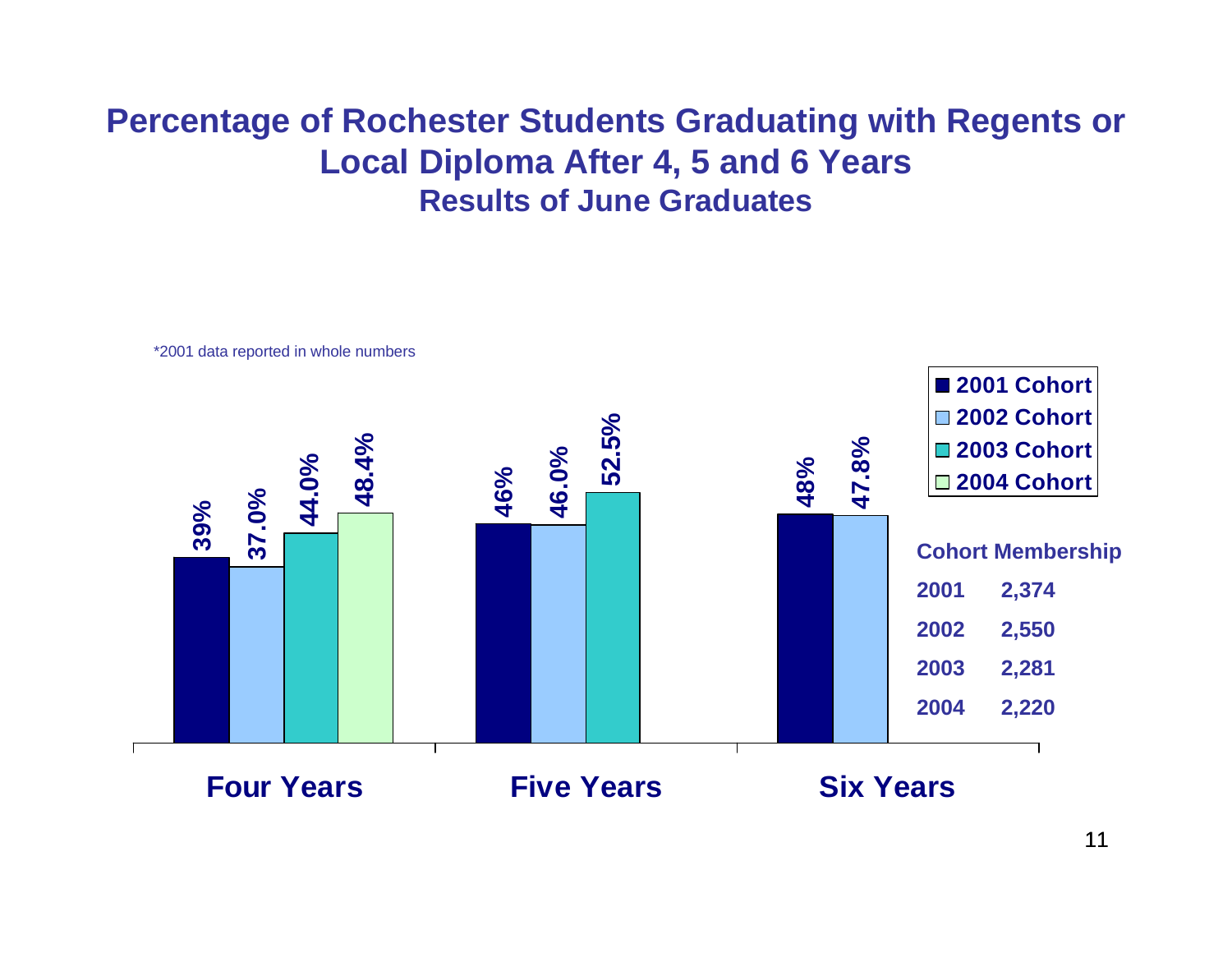## **Percentage of Rochester Students Graduating with Regents or Local Diploma After 4, 5 and 6 Years Results of June Graduates**

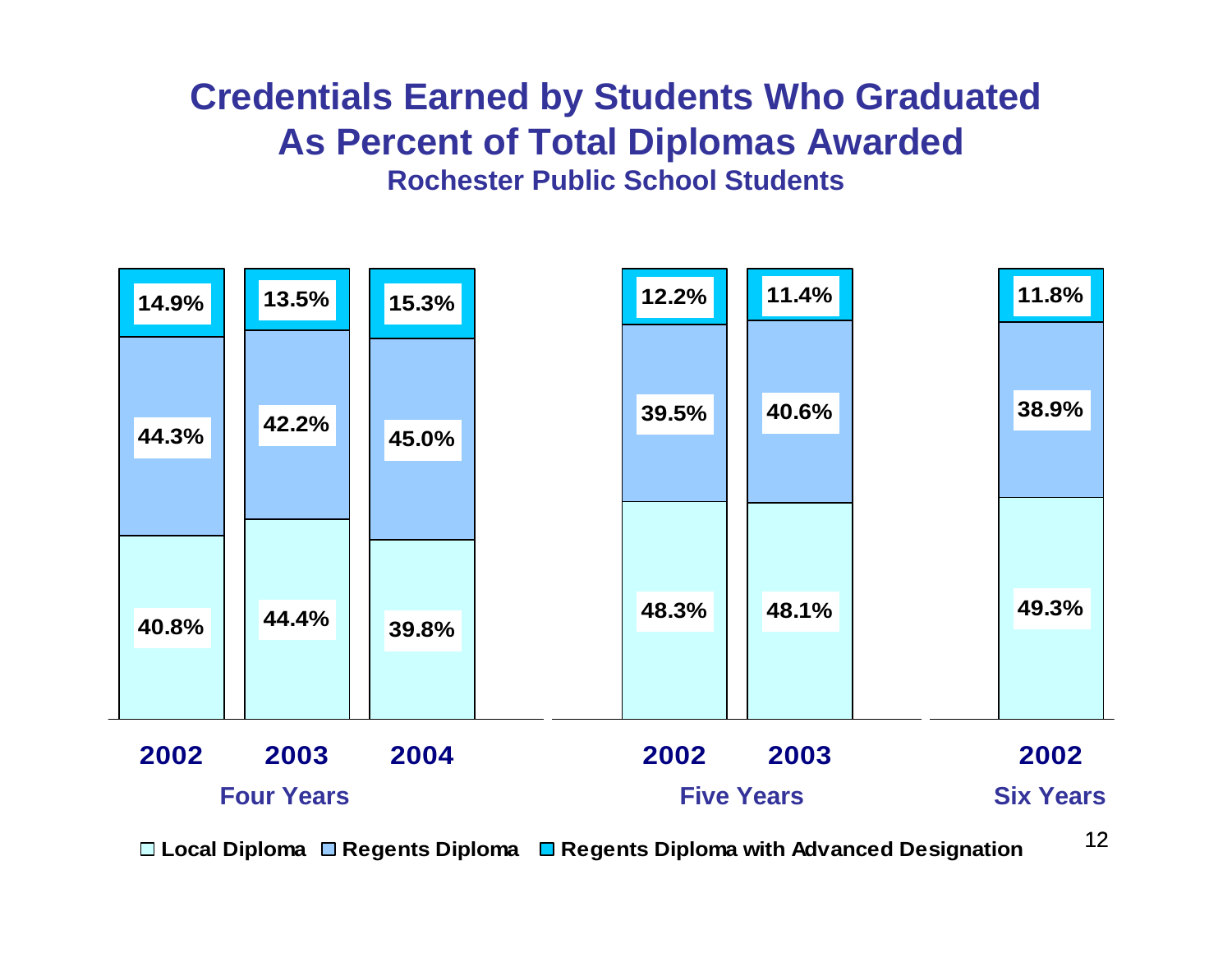## **Credentials Earned by Students Who Graduated As Percent of Total Diplomas Awarded Rochester Public School Students**



**Local Diploma Regents Diploma Regents Diploma with Advanced Designation**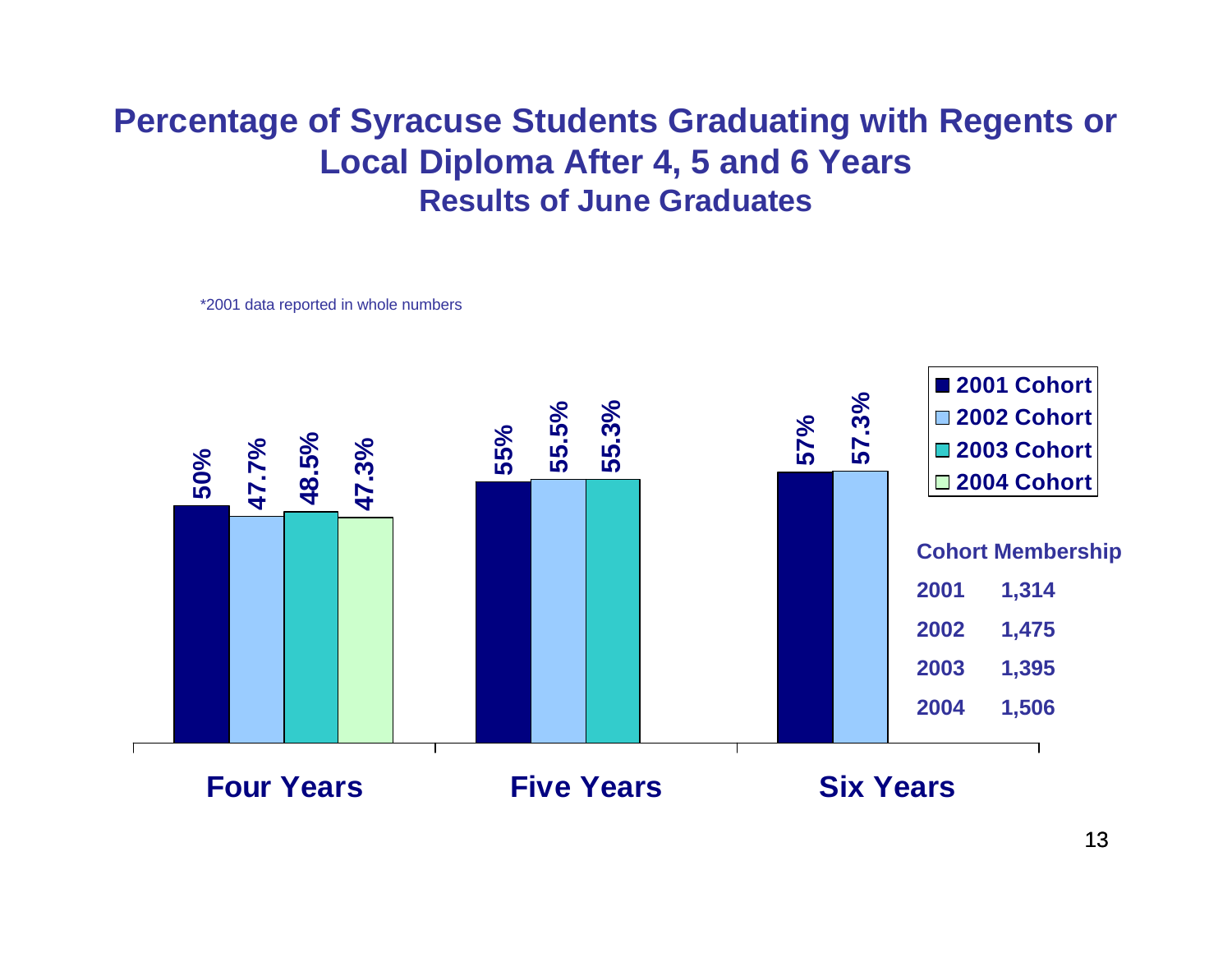## **Percentage of Syracuse Students Graduating with Regents or Local Diploma After 4, 5 and 6 Years Results of June Graduates**

\*2001 data reported in whole numbers

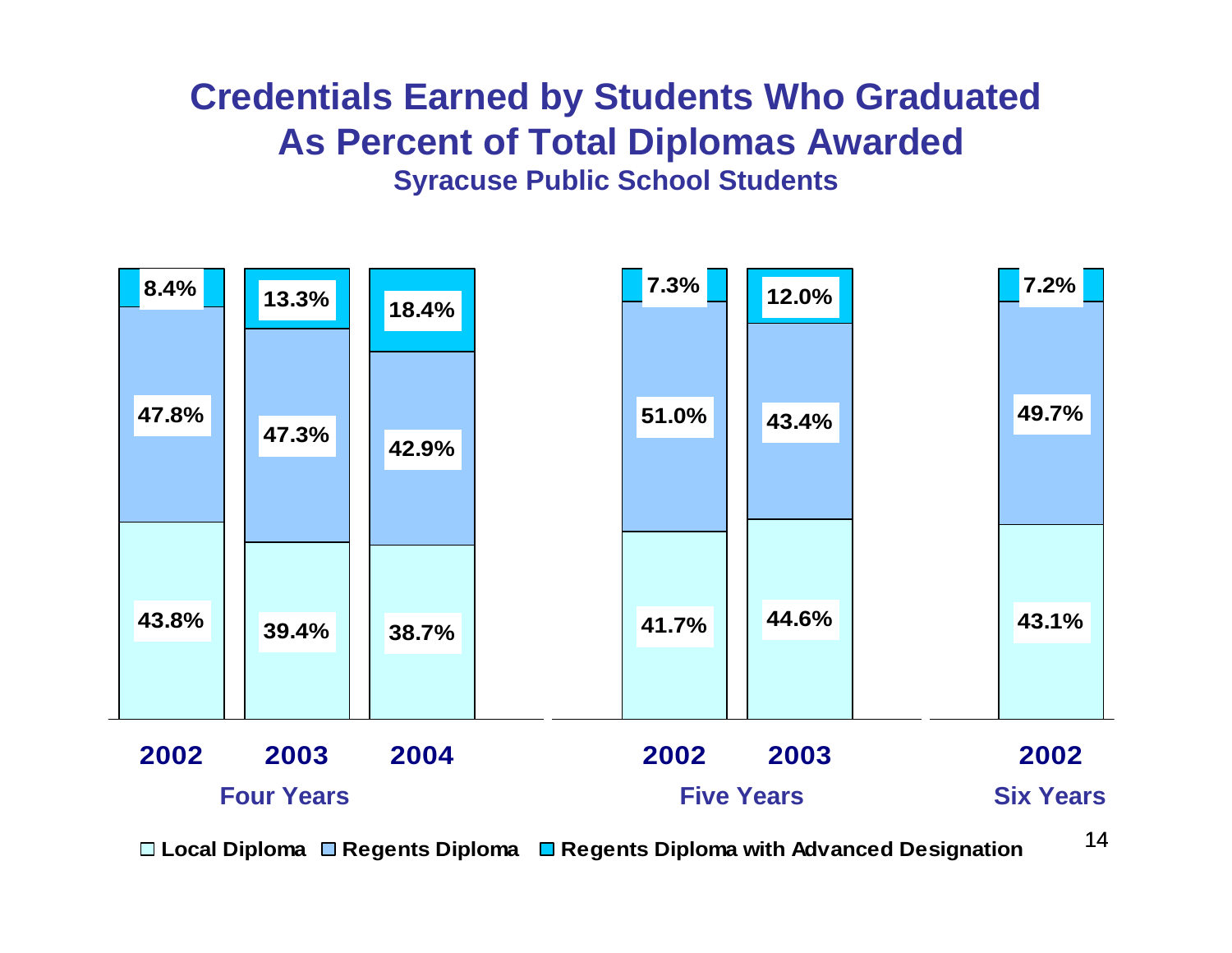## **Credentials Earned by Students Who Graduated As Percent of Total Diplomas Awarded Syracuse Public School Students**



**Local Diploma Regents Diploma Regents Diploma with Advanced Designation**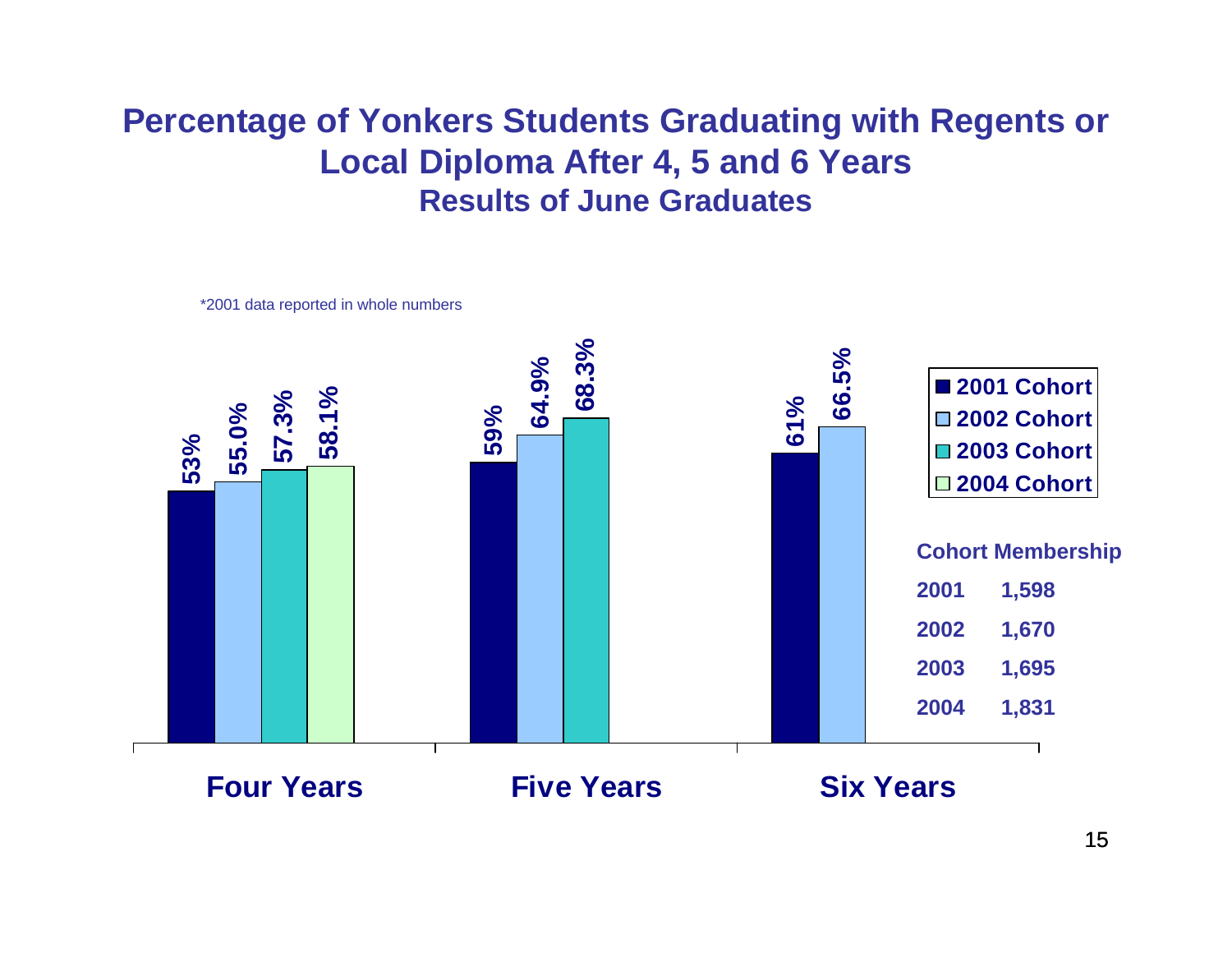### **Percentage of Yonkers Students Graduating with Regents or Local Diploma After 4, 5 and 6 Years Results of June Graduates**



\*2001 data reported in whole numbers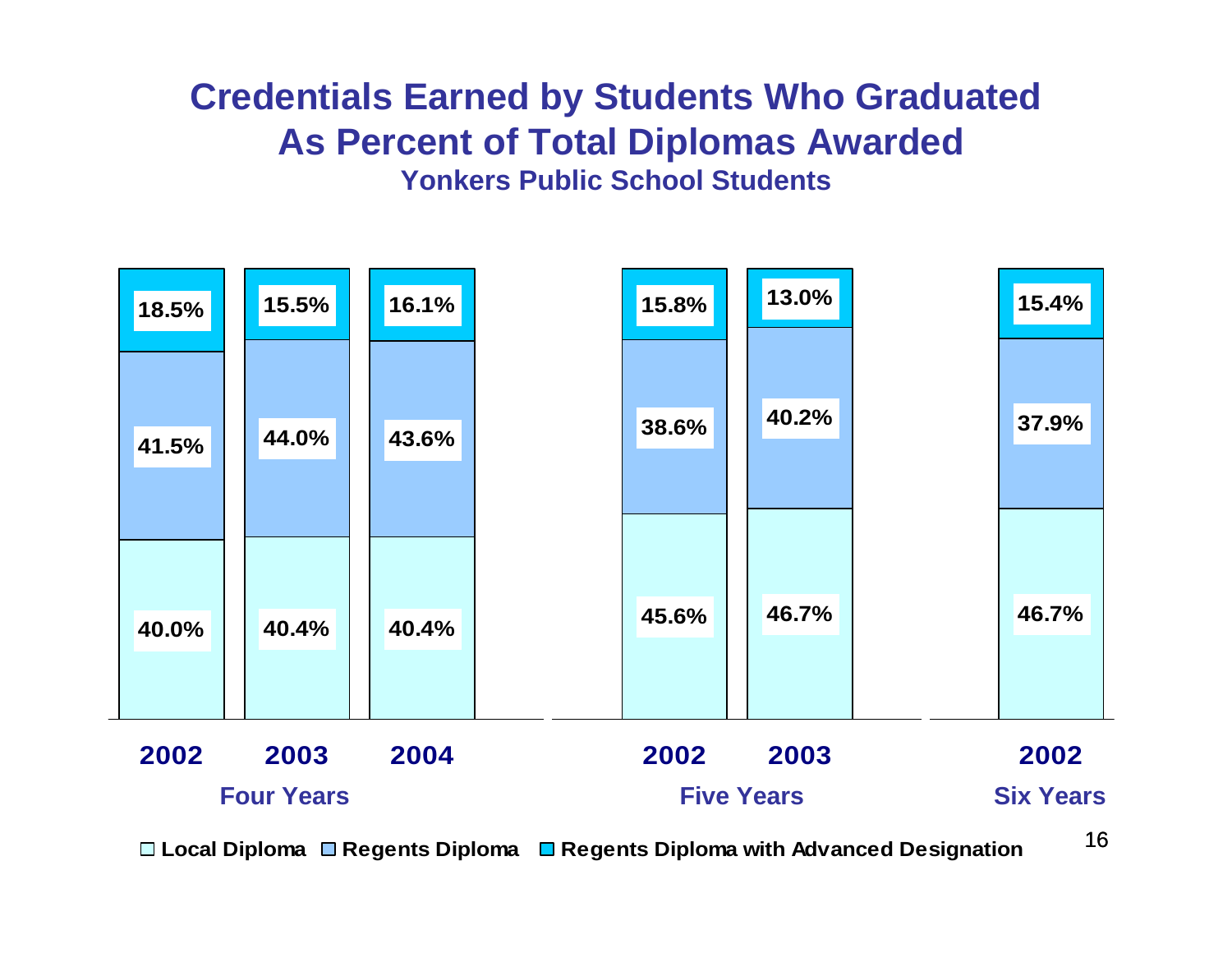## **Credentials Earned by Students Who Graduated As Percent of Total Diplomas Awarded Yonkers Public School Students**



**Local Diploma Regents Diploma Regents Diploma with Advanced Designation**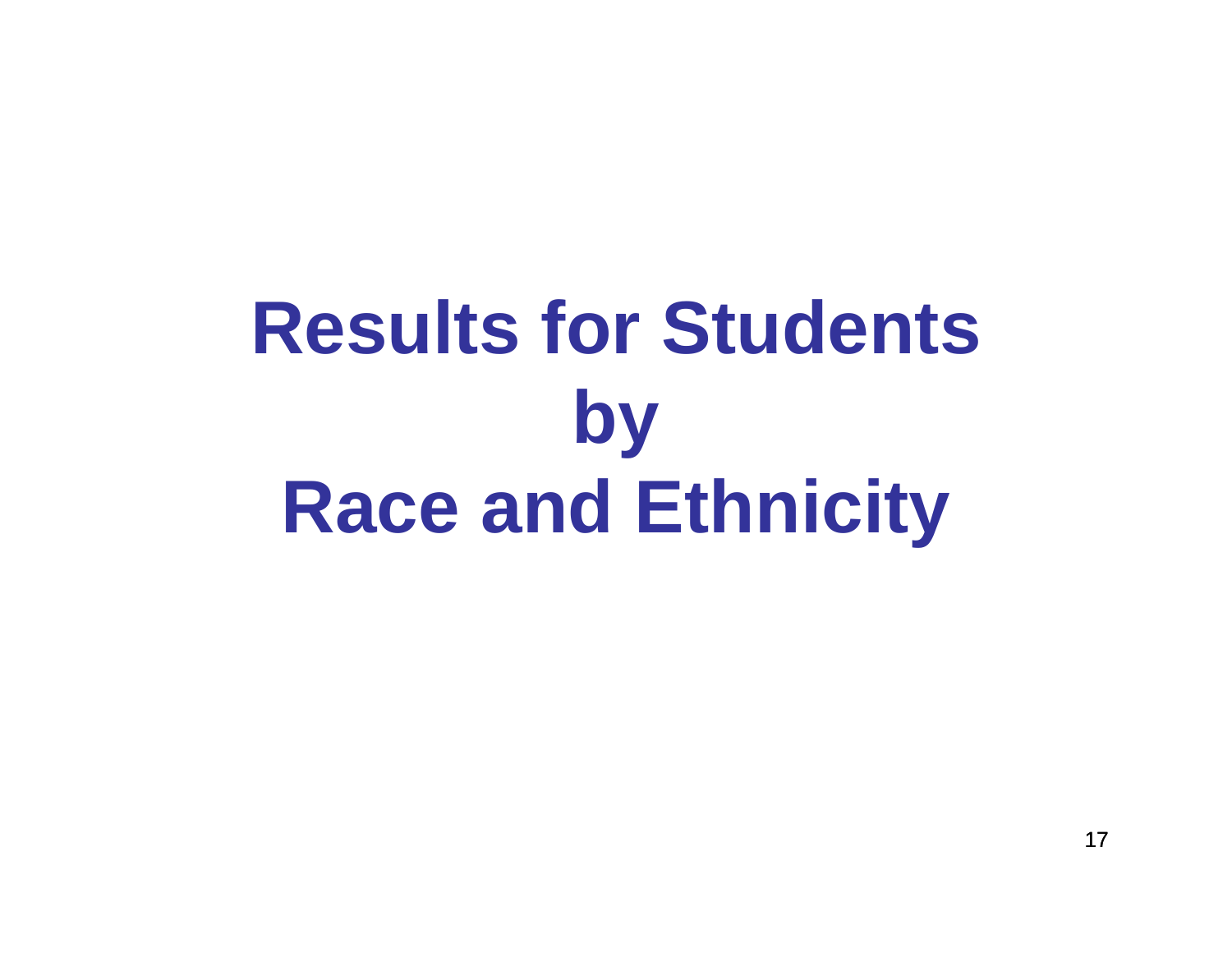# **Results for Students by Race and Ethnicity**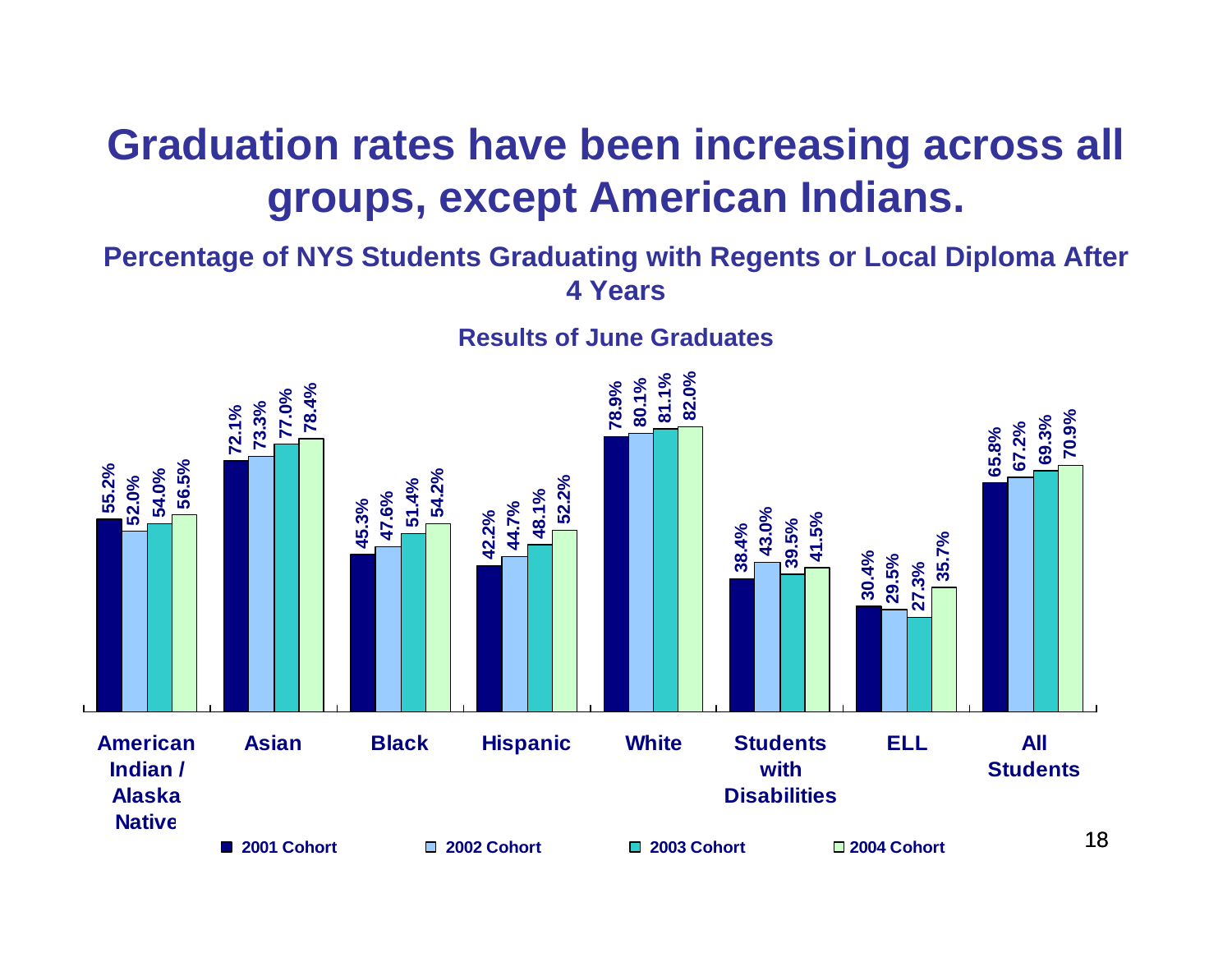## **Graduation rates have been increasing across all groups, except American Indians.**

#### **Percentage of NYS Students Graduating with Regents or Local Diploma After 4 Years**

#### **Results of June Graduates**

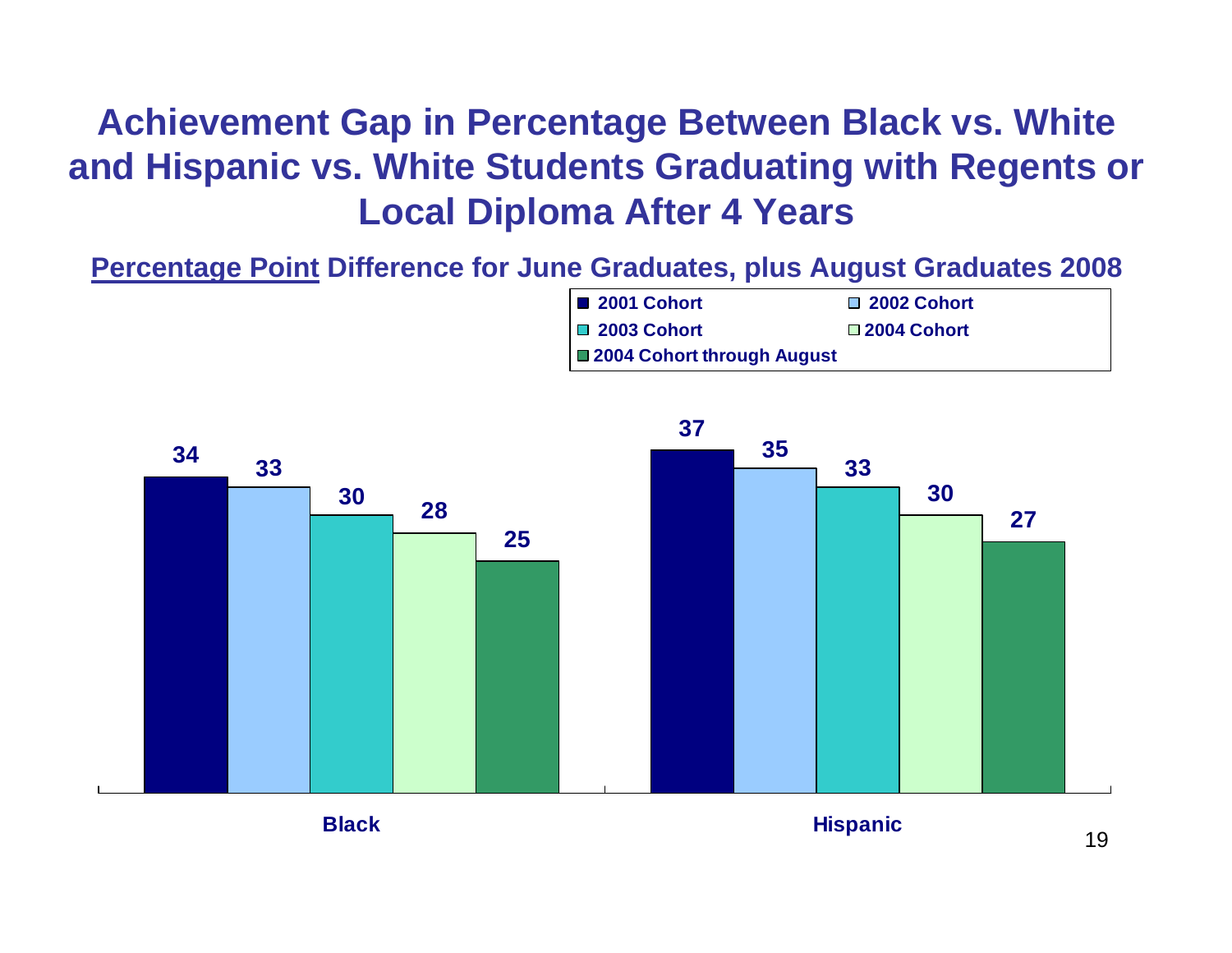## **Achievement Gap in Percentage Between Black vs. White and Hispanic vs. White Students Graduating with Regents or Local Diploma After 4 Years**

**Percentage Point Difference for June Graduates, plus August Graduates 2008**





19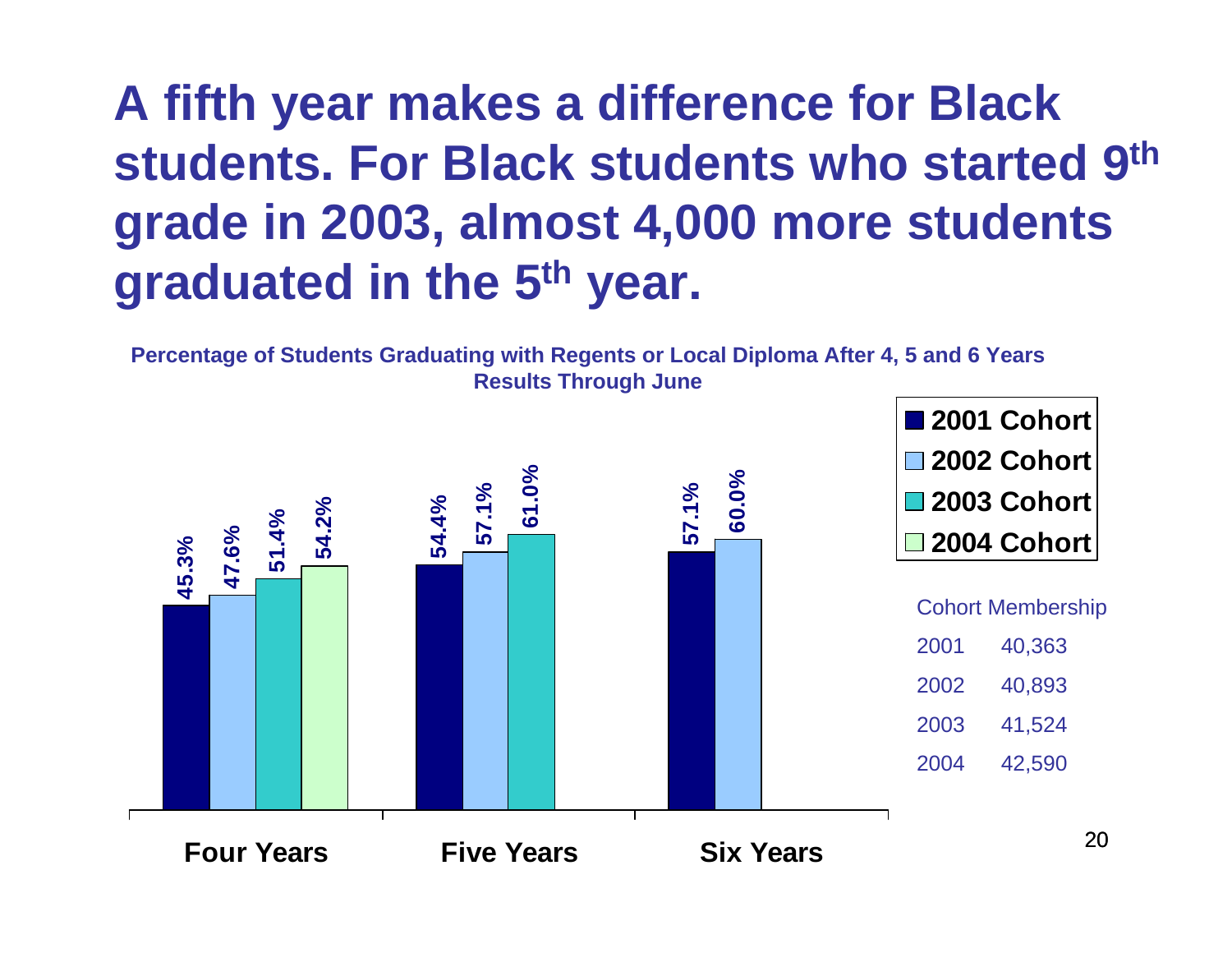# **A fifth year makes a difference for Black students. For Black students who started 9th grade in 2003, almost 4,000 more students graduated in the 5th year.**

**Percentage of Students Graduating with Regents or Local Diploma After 4, 5 and 6 Years Results Through June**

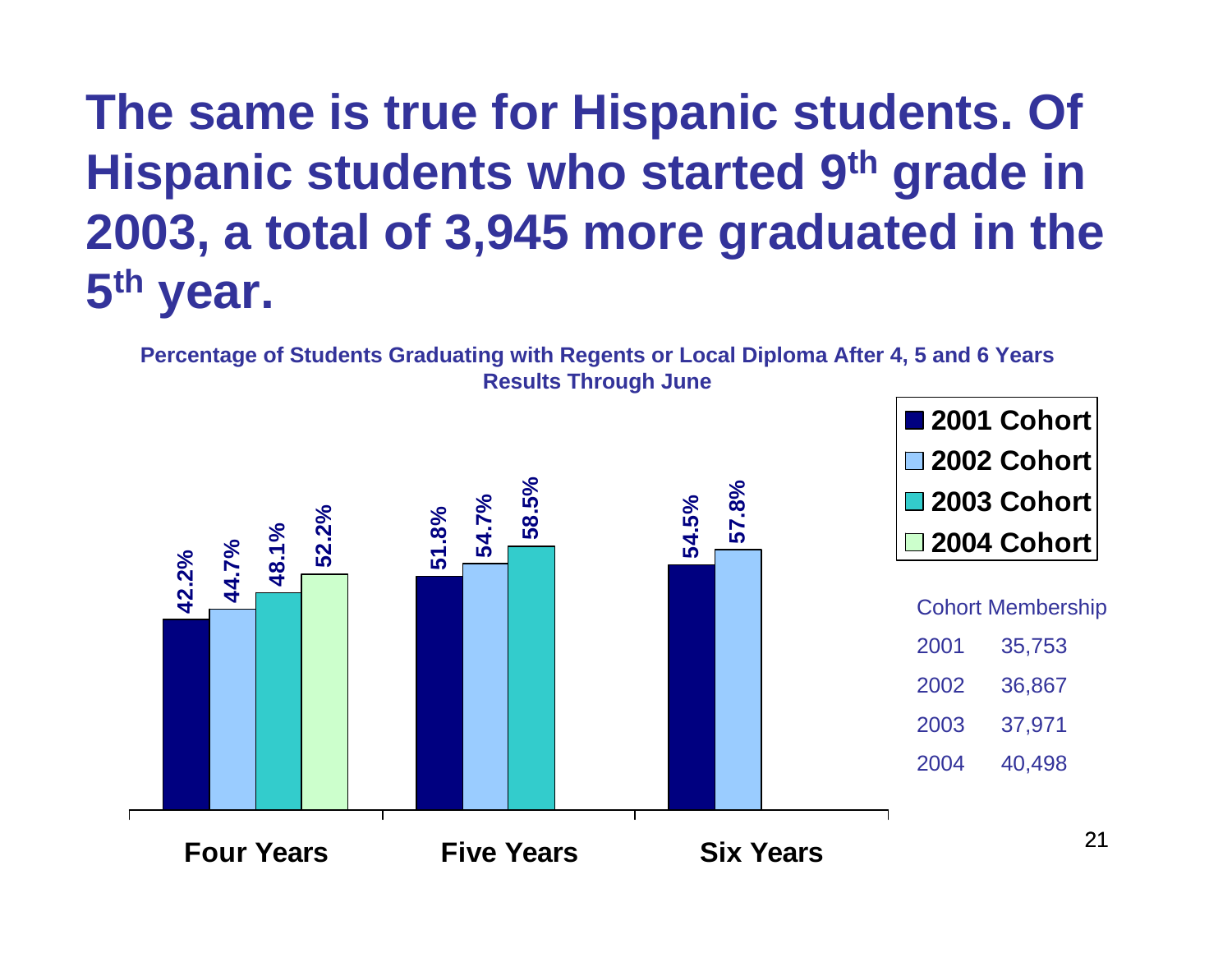# **The same is true for Hispanic students. Of Hispanic students who started 9th grade in 2003, a total of 3,945 more graduated in the 5th year.**

21**58.5% 57.8% 52.2% 42.2% 51.8% 54.7% 54.5% 44.7% 48.1% Four Years Five Years Six Years2001 Cohort2002 Cohort2003 Cohort2004 CohortPercentage of Students Graduating with Regents or Local Diploma After 4, 5 and 6 Years Results Through June** Cohort Membership 2001 35,753 2002 36,867 2003 37,971 2004 40,498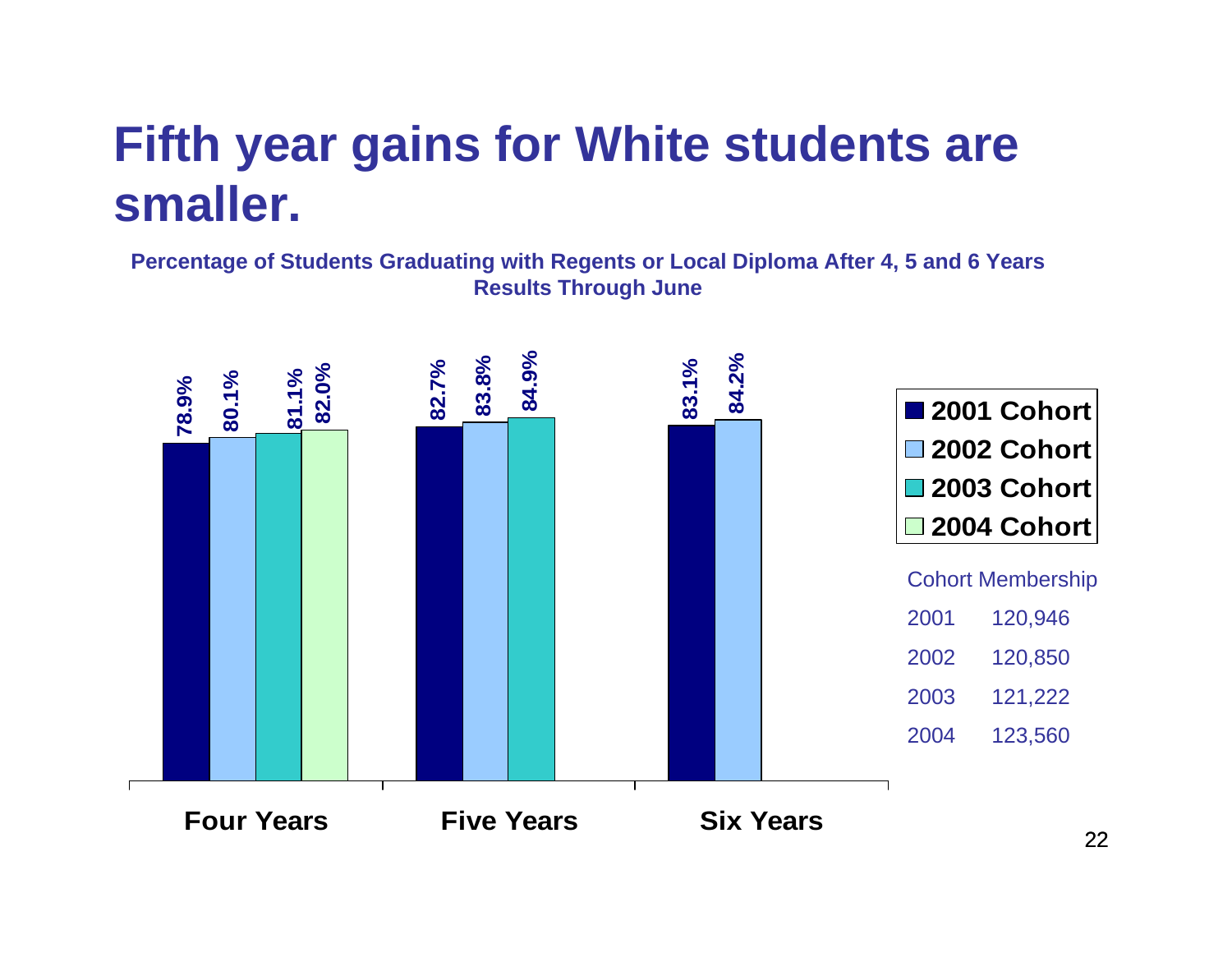# **Fifth year gains for White students are smaller.**

**Percentage of Students Graduating with Regents or Local Diploma After 4, 5 and 6 Years Results Through June**

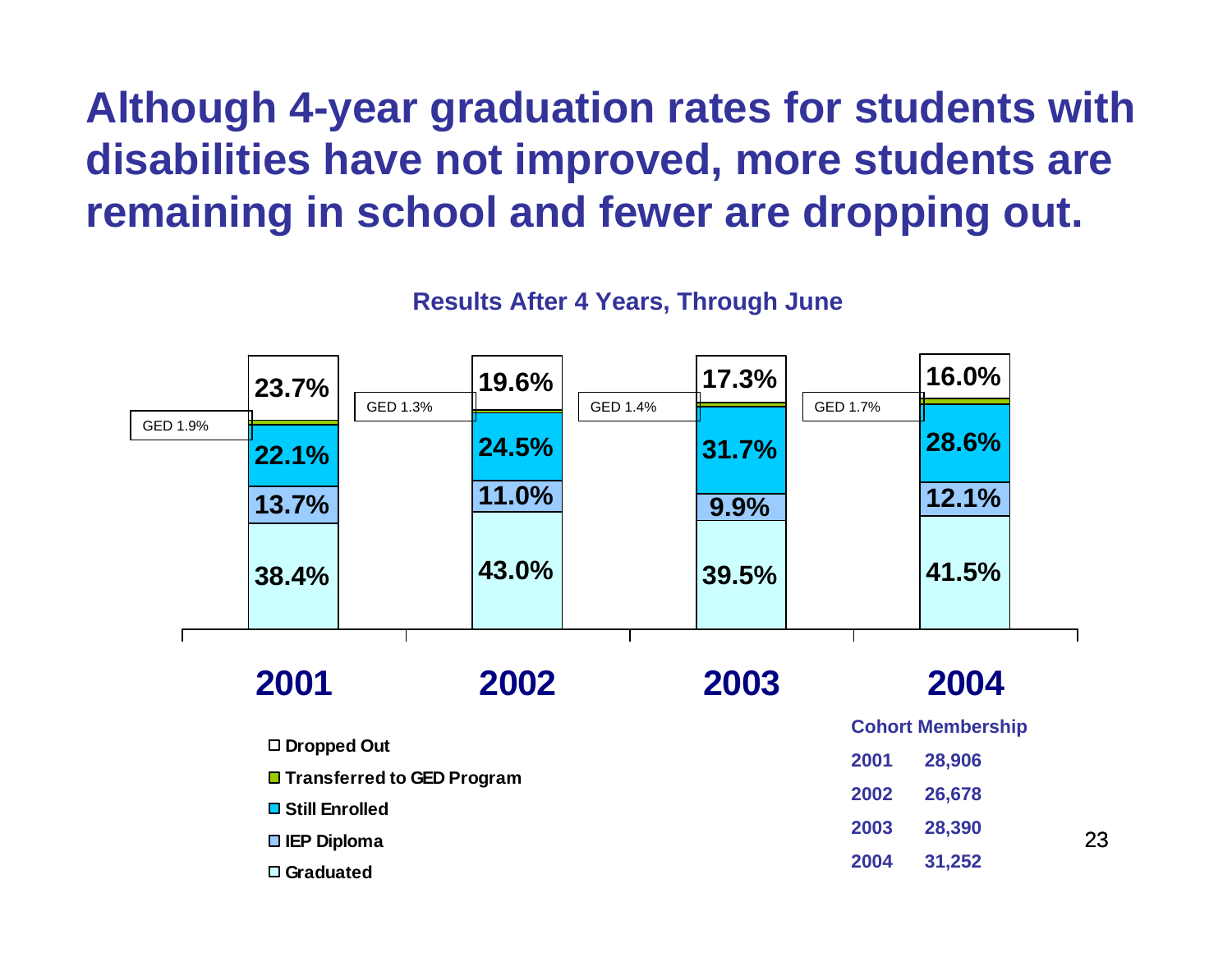# **Although 4-year graduation rates for students with disabilities have not improved, more students are remaining in school and fewer are dropping out.**

**Results After 4 Years, Through June**

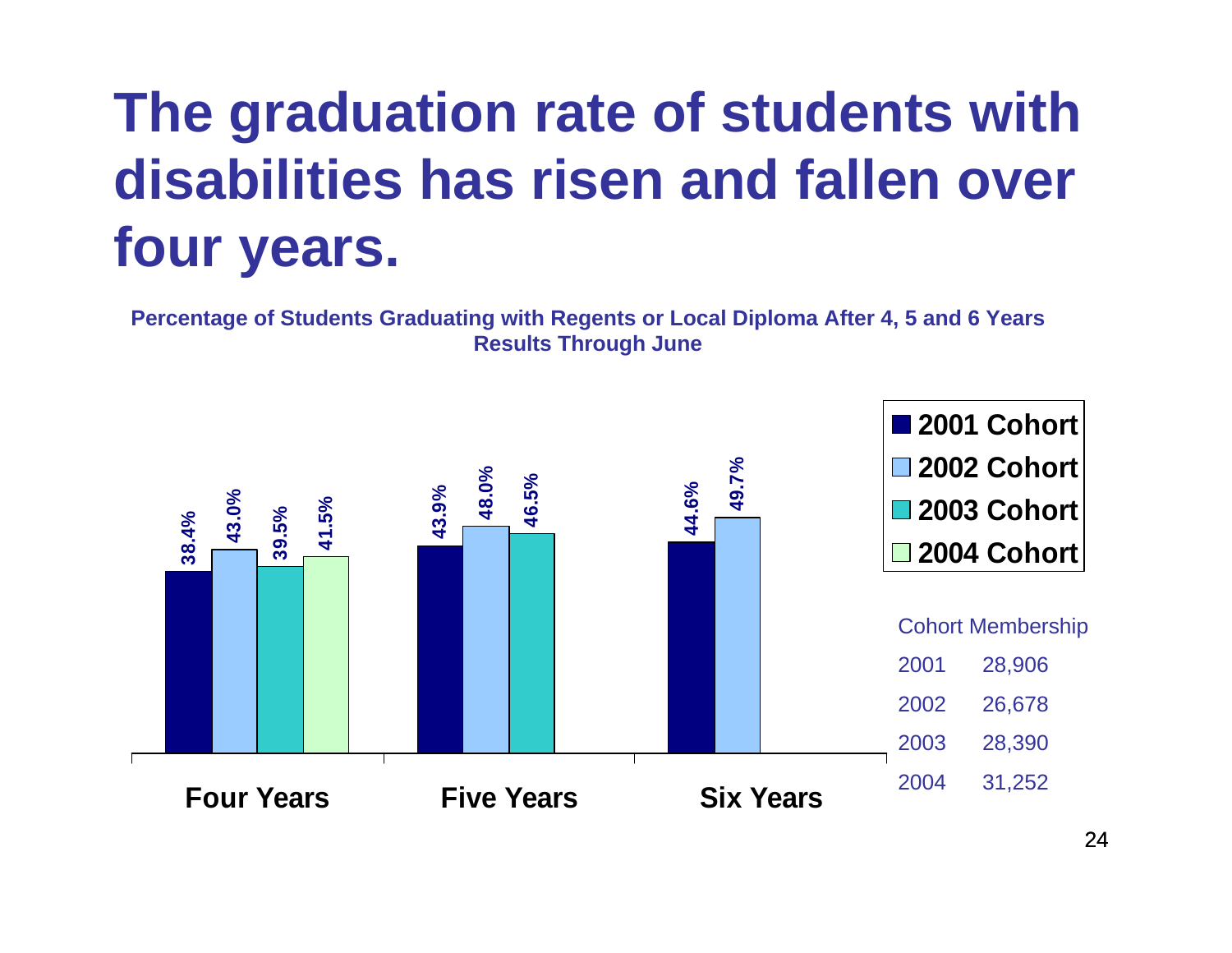# **The graduation rate of students with disabilities has risen and fallen over four years.**

**Percentage of Students Graduating with Regents or Local Diploma After 4, 5 and 6 Years Results Through June**

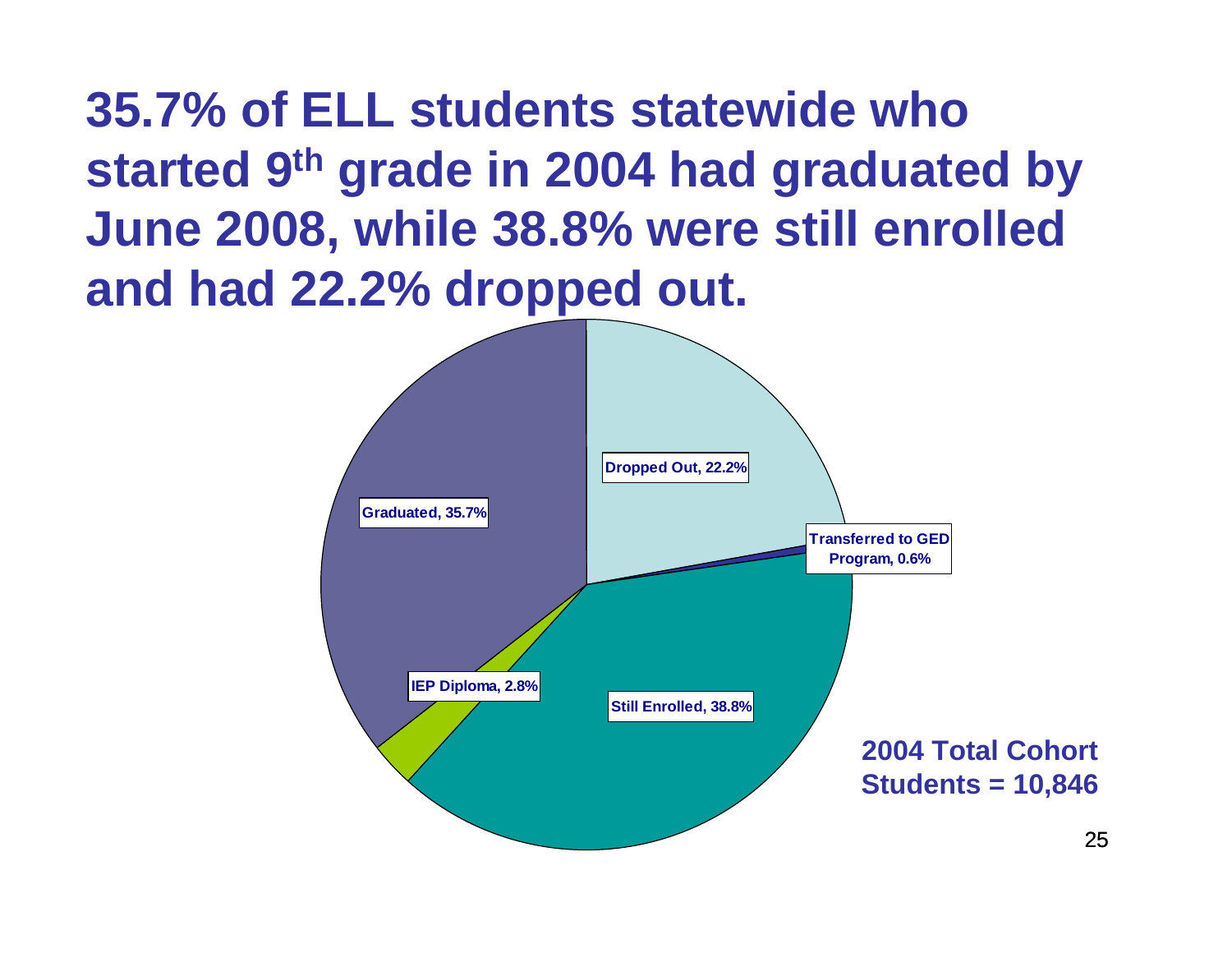**35.7% of ELL students statewide who started 9th grade in 2004 had graduated by June 2008, while 38.8% were still enrolled and had 22.2% dropped out.**

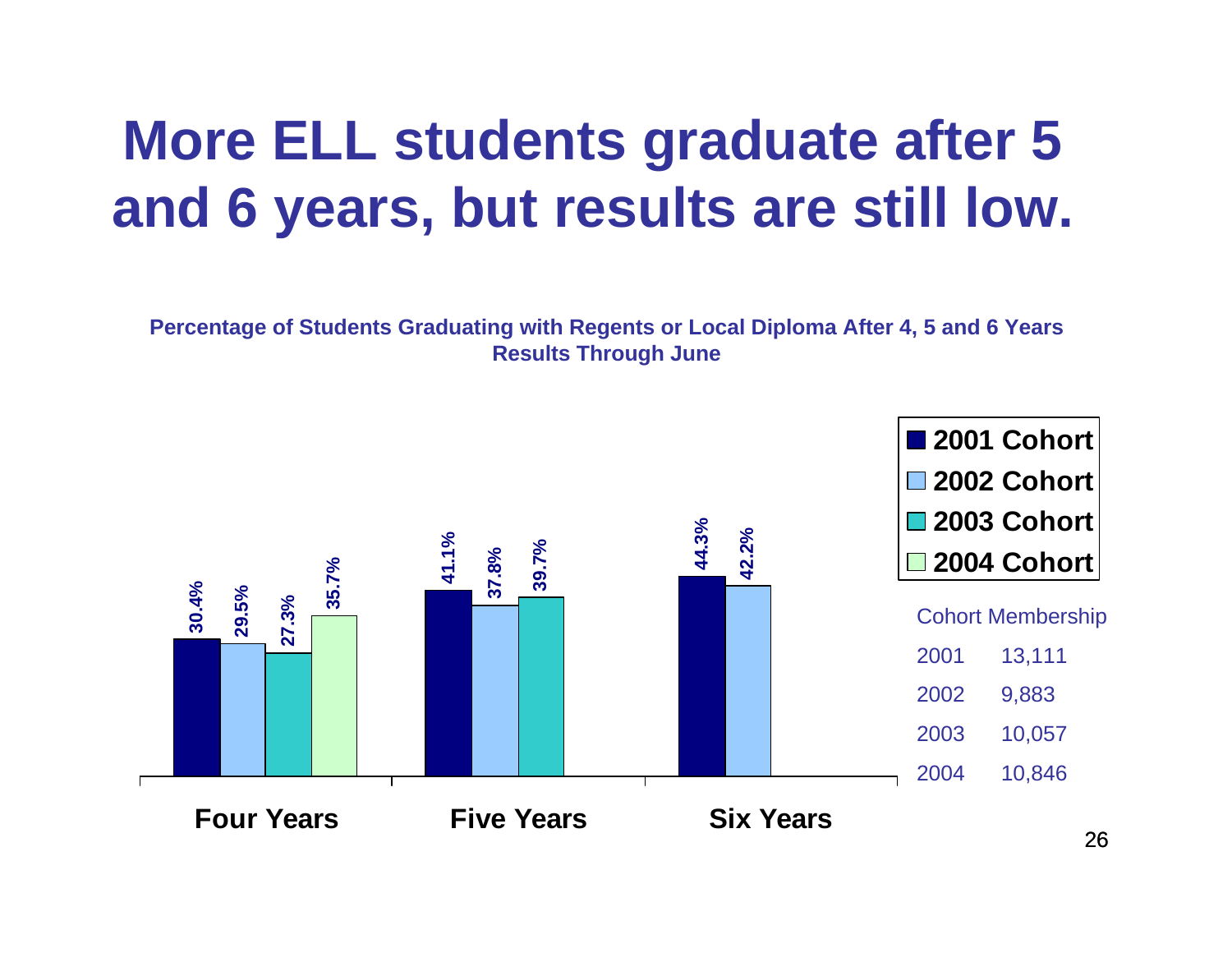# **More ELL students graduate after 5 and 6 years, but results are still low.**

**Percentage of Students Graduating with Regents or Local Diploma After 4, 5 and 6 Years Results Through June**

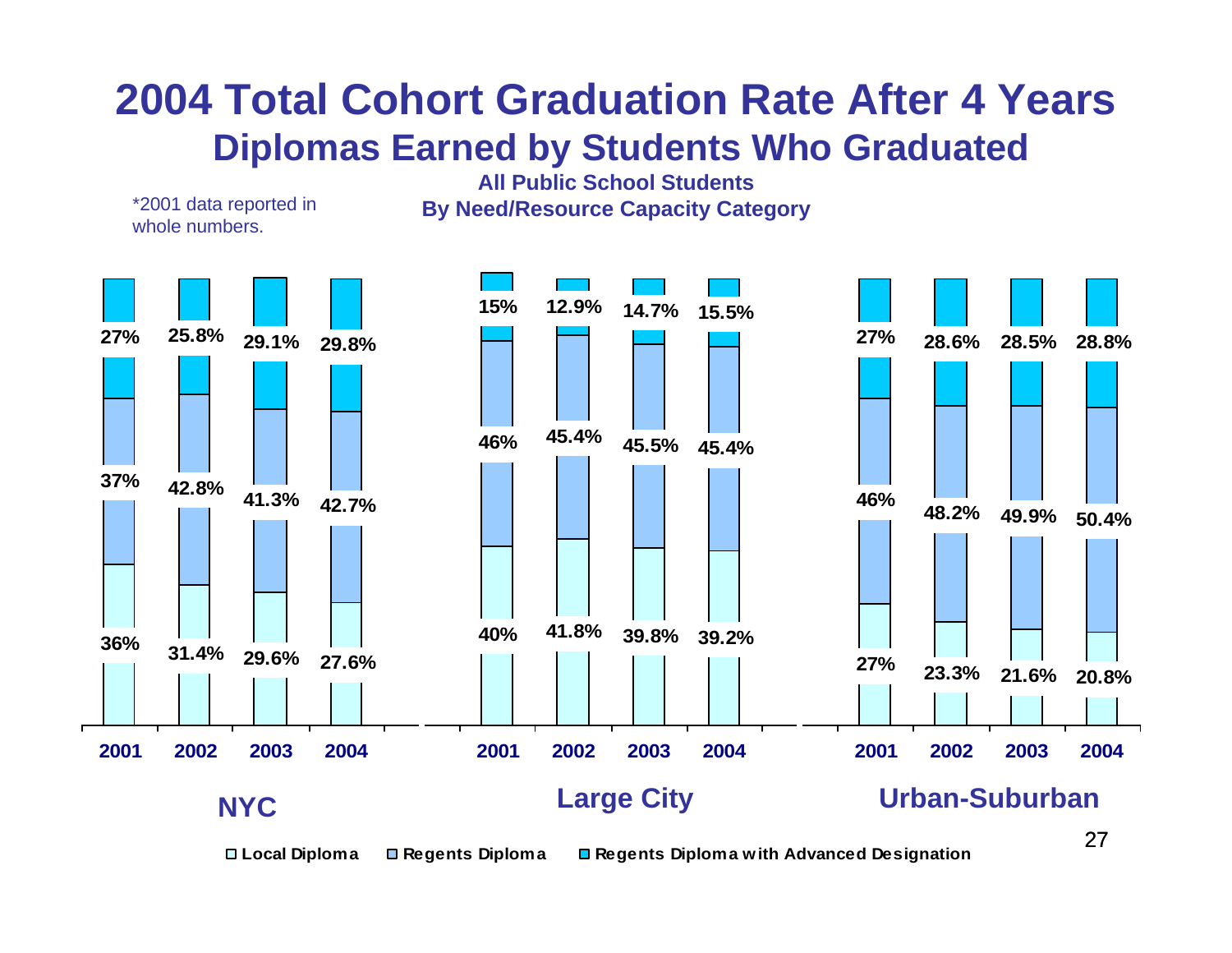## **2004 Total Cohort Graduation Rate After 4 Years Diplomas Earned by Students Who Graduated**

**All Public School Students**

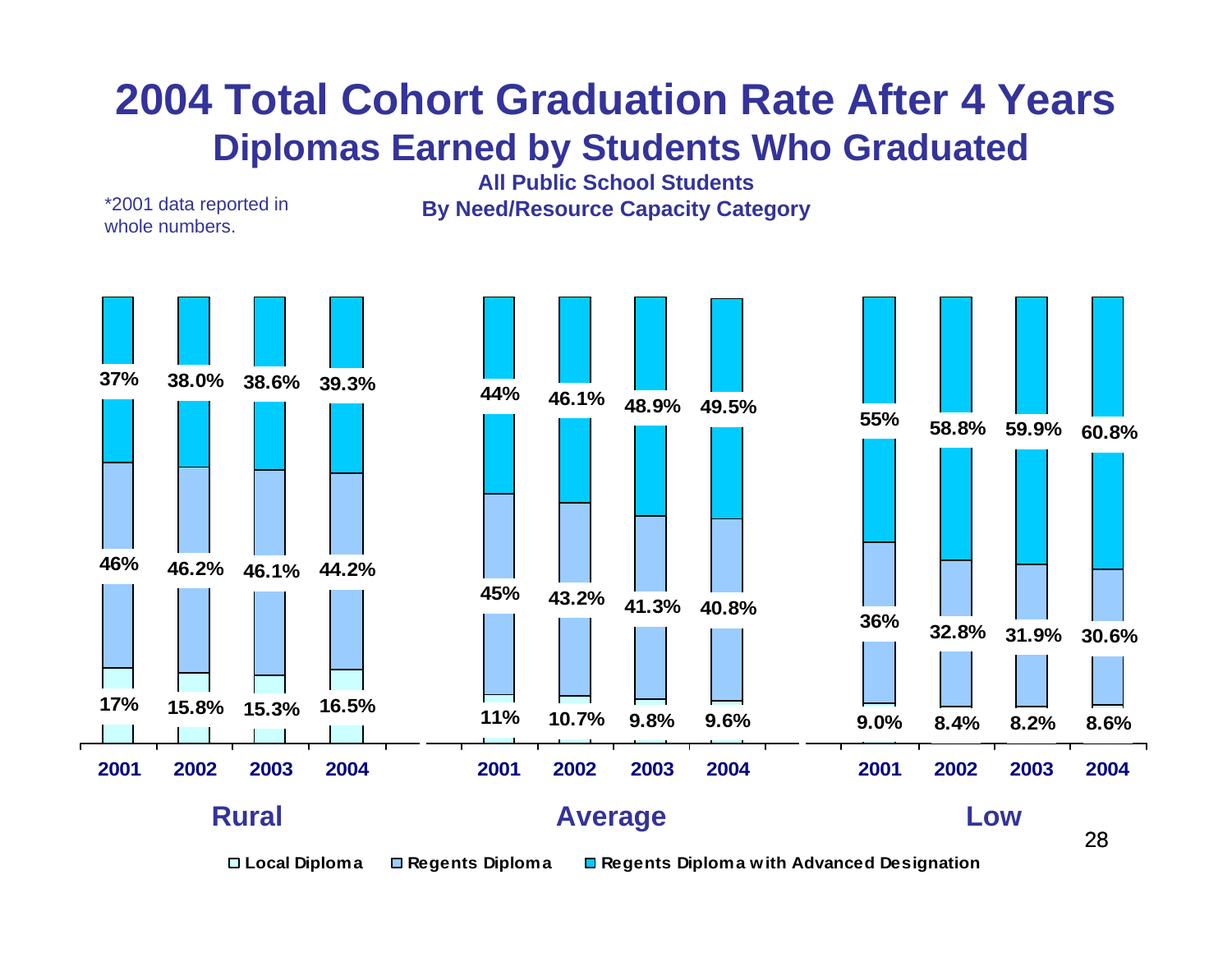## **2004 Total Cohort Graduation Rate After 4 Years Diplomas Earned by Students Who Graduated**

**All Public School StudentsBy Need/Resource Capacity Category**

**17% 15.8% 15.3% 16.5% 11% 10.7% 9.8% 9.6% 9.0% 8.4%46% 46.2% 46.1% 44.2% 45% 43.2% 41.3% 40.8% 36% 32.8% 31.9% 30.6%37% 38.0% 38.6% 39.3% 44% 46.1% 48.9% 49.5% 55% 58.8% 59.9% 60.8% 8.2% 8.6% 2001 2002 2003 2004 2001 2002 2003 2004 2001 2002 2003 2004 Rural Average Low**

\*2001 data reported in

whole numbers.

**Local Diploma Regents Diploma Regents Diploma with Advanced Designation** 

28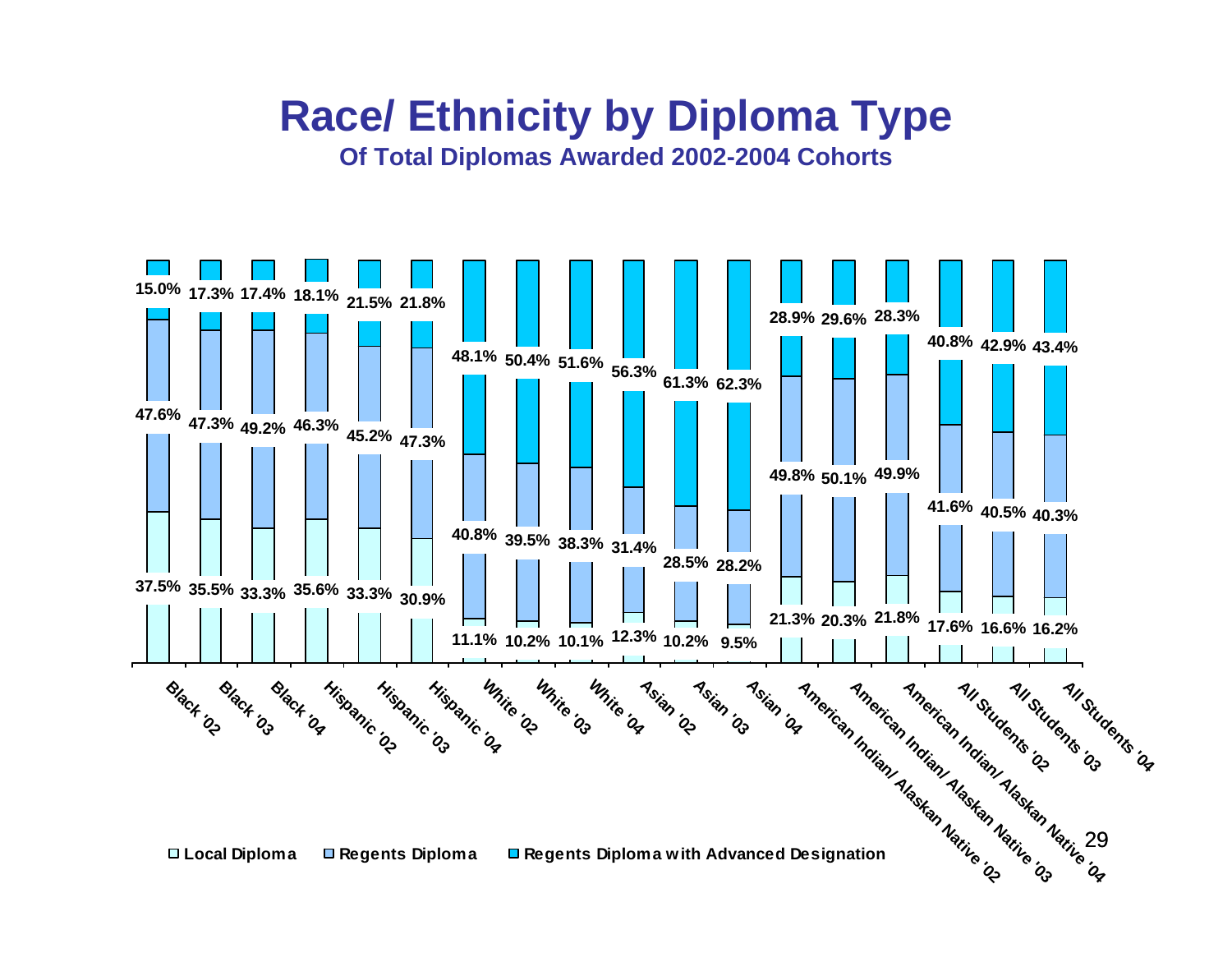# **Race/ Ethnicity by Diploma Type**

**Of Total Diplomas Awarded 2002-2004 Cohorts**

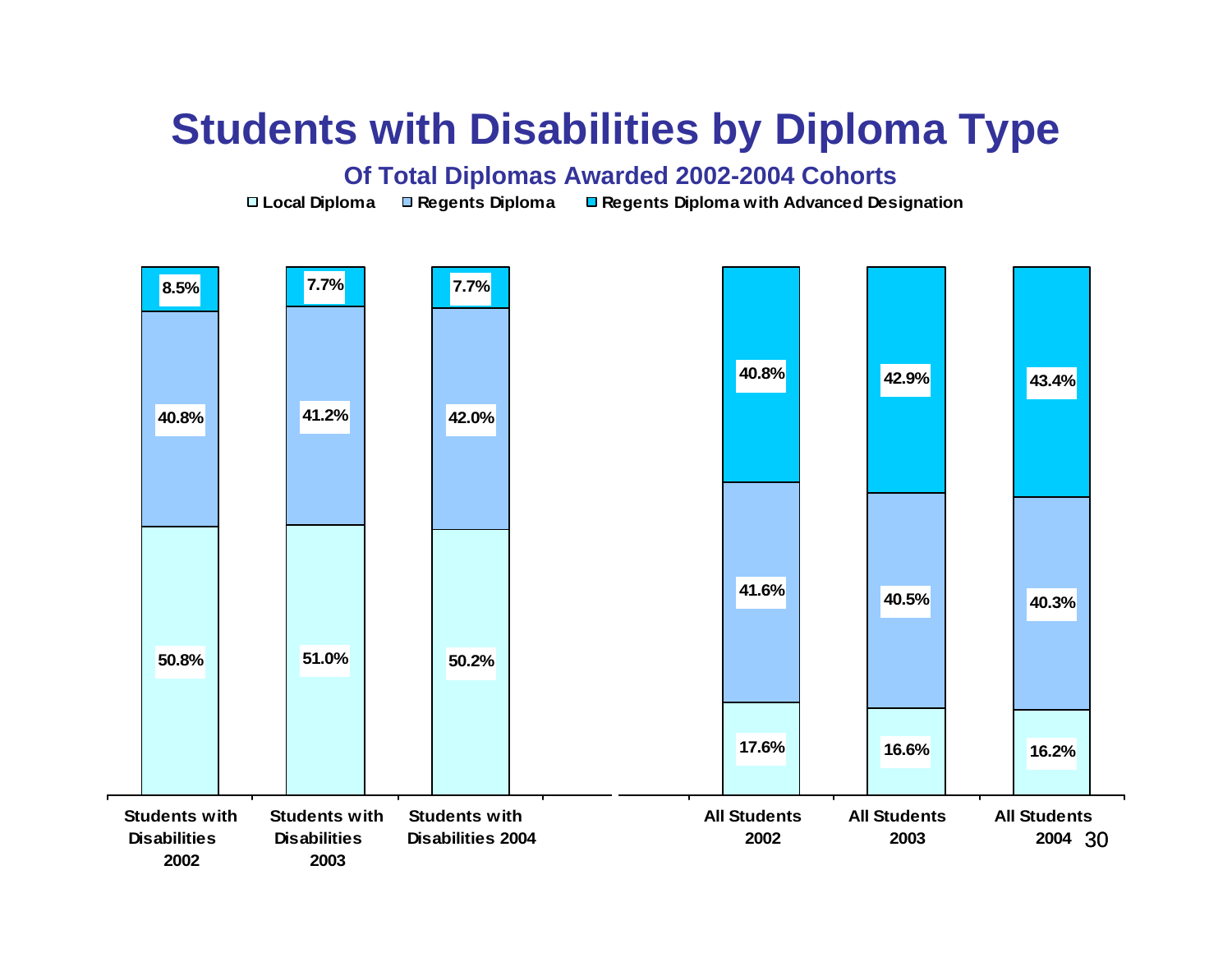## **Students with Disabilities by Diploma Type**

#### **Of Total Diplomas Awarded 2002-2004 Cohorts**

**Local Diploma Regents Diploma Regents Diploma with Advanced Designation** 

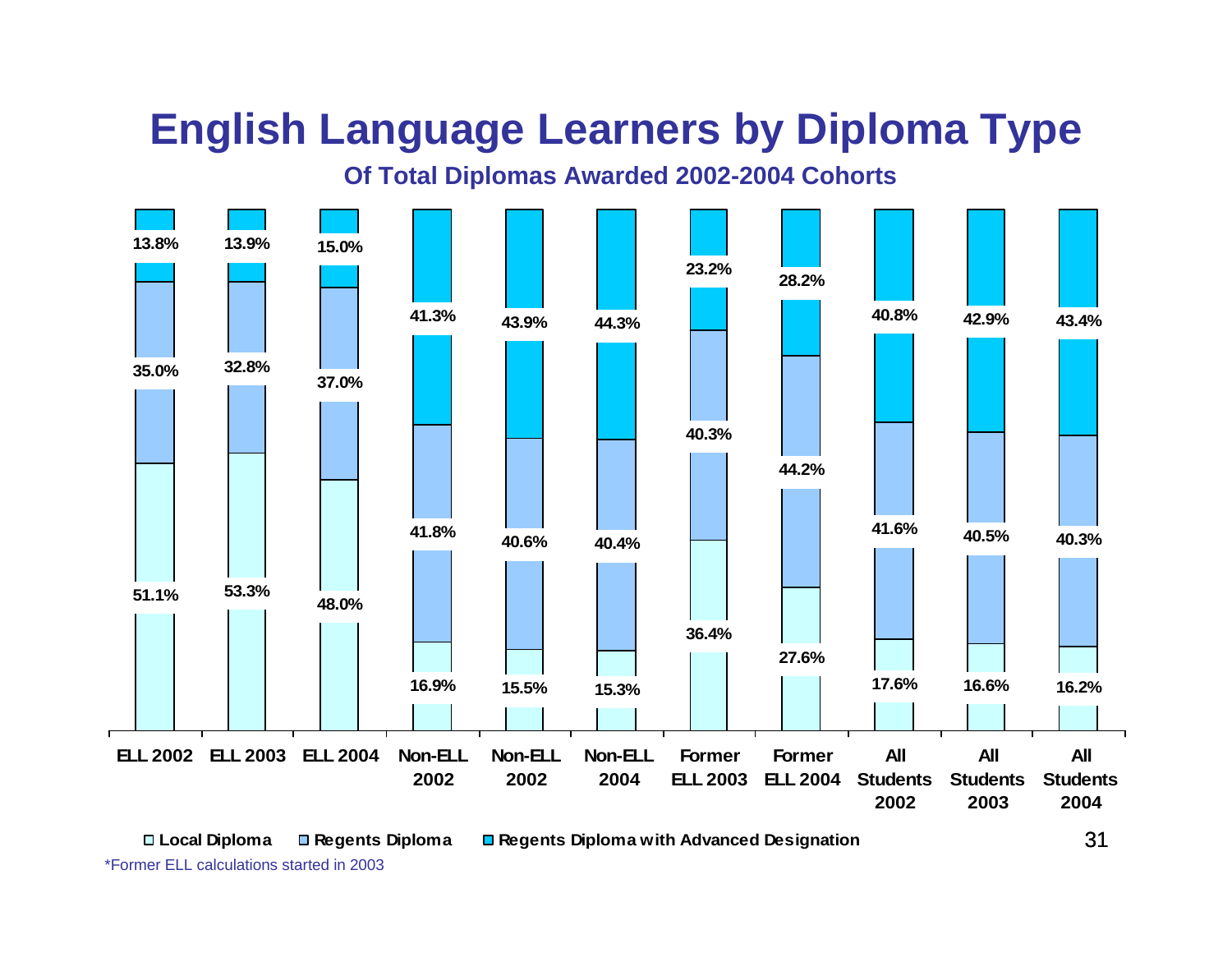# **English Language Learners by Diploma Type**

**Of Total Diplomas Awarded 2002-2004 Cohorts**



**Local Diploma Regents Diploma Regents Diploma with Advanced Designation** 

\*Former ELL calculations started in 2003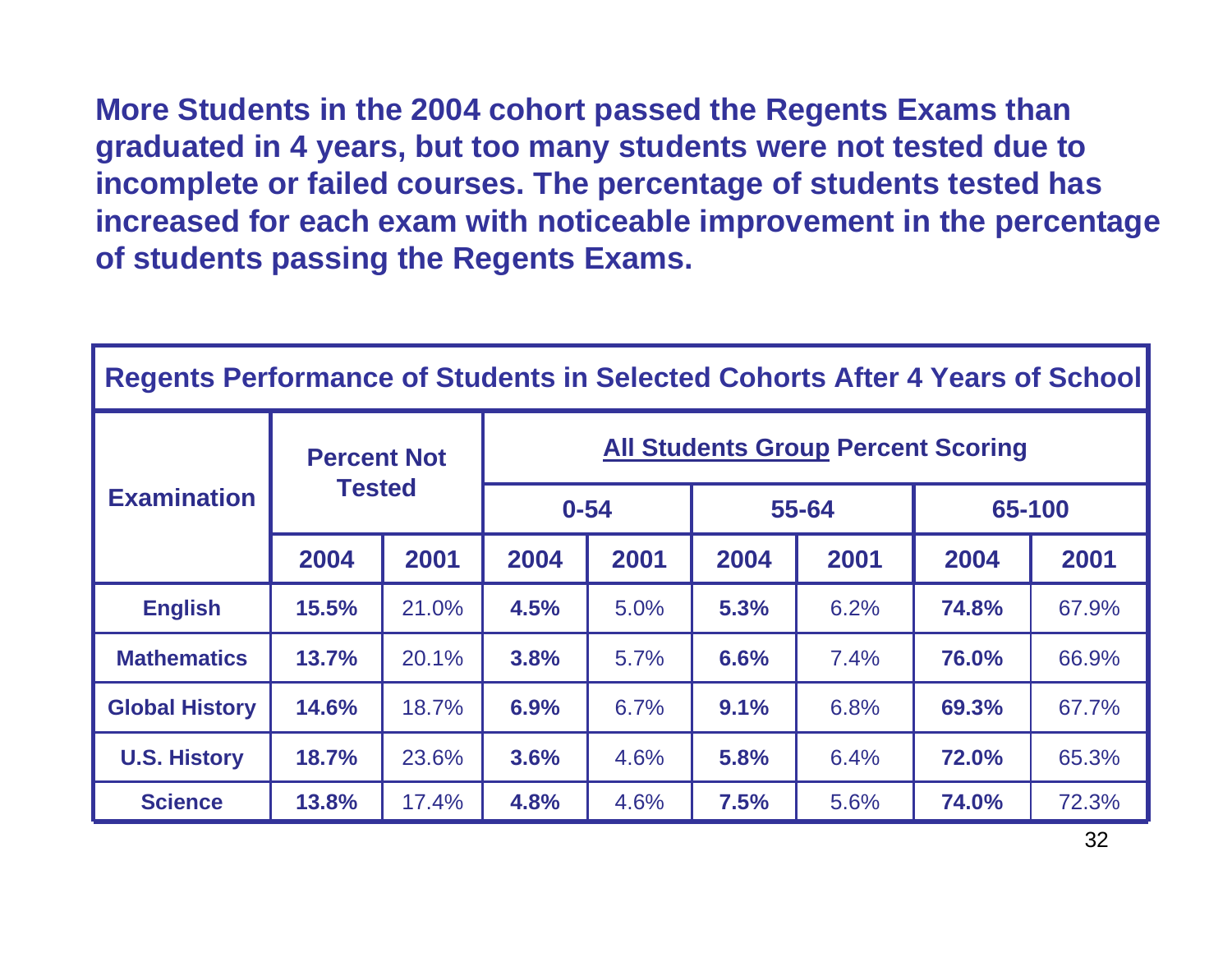**More Students in the 2004 cohort passed the Regents Exams than graduated in 4 years, but too many students were not tested due to incomplete or failed courses. The percentage of students tested has increased for each exam with noticeable improvement in the percentage of students passing the Regents Exams.**

| Regents Performance of Students in Selected Cohorts After 4 Years of School |                                     |       |                                           |      |       |      |        |       |  |  |
|-----------------------------------------------------------------------------|-------------------------------------|-------|-------------------------------------------|------|-------|------|--------|-------|--|--|
| <b>Examination</b>                                                          | <b>Percent Not</b><br><b>Tested</b> |       | <b>All Students Group Percent Scoring</b> |      |       |      |        |       |  |  |
|                                                                             |                                     |       | $0 - 54$                                  |      | 55-64 |      | 65-100 |       |  |  |
|                                                                             | 2004                                | 2001  | 2004                                      | 2001 | 2004  | 2001 | 2004   | 2001  |  |  |
| <b>English</b>                                                              | 15.5%                               | 21.0% | 4.5%                                      | 5.0% | 5.3%  | 6.2% | 74.8%  | 67.9% |  |  |
| <b>Mathematics</b>                                                          | 13.7%                               | 20.1% | 3.8%                                      | 5.7% | 6.6%  | 7.4% | 76.0%  | 66.9% |  |  |
| <b>Global History</b>                                                       | 14.6%                               | 18.7% | 6.9%                                      | 6.7% | 9.1%  | 6.8% | 69.3%  | 67.7% |  |  |
| <b>U.S. History</b>                                                         | 18.7%                               | 23.6% | 3.6%                                      | 4.6% | 5.8%  | 6.4% | 72.0%  | 65.3% |  |  |
| <b>Science</b>                                                              | 13.8%                               | 17.4% | 4.8%                                      | 4.6% | 7.5%  | 5.6% | 74.0%  | 72.3% |  |  |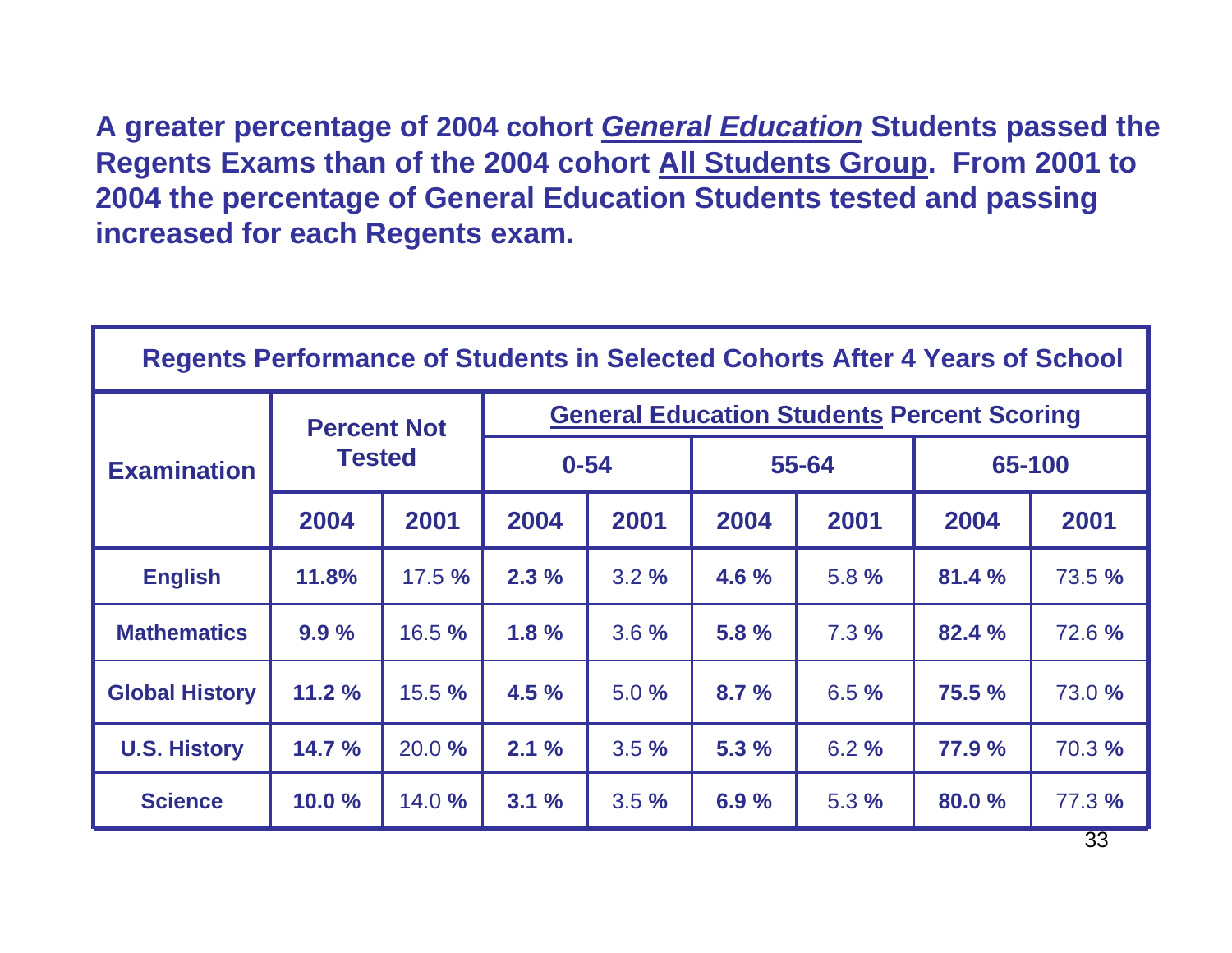**A greater percentage of 2004 cohort** *General Education* **Students passed the Regents Exams than of the 2004 cohort All Students Group. From 2001 to 2004 the percentage of General Education Students tested and passing increased for each Regents exam.**

| <b>Regents Performance of Students in Selected Cohorts After 4 Years of School</b> |                                     |       |                                                   |      |       |      |        |                 |  |  |
|------------------------------------------------------------------------------------|-------------------------------------|-------|---------------------------------------------------|------|-------|------|--------|-----------------|--|--|
| <b>Examination</b>                                                                 | <b>Percent Not</b><br><b>Tested</b> |       | <b>General Education Students Percent Scoring</b> |      |       |      |        |                 |  |  |
|                                                                                    |                                     |       | $0 - 54$                                          |      | 55-64 |      | 65-100 |                 |  |  |
|                                                                                    | 2004                                | 2001  | 2004                                              | 2001 | 2004  | 2001 | 2004   | 2001            |  |  |
| <b>English</b>                                                                     | 11.8%                               | 17.5% | 2.3%                                              | 3.2% | 4.6%  | 5.8% | 81.4%  | <b>73.5 %</b>   |  |  |
| <b>Mathematics</b>                                                                 | 9.9%                                | 16.5% | 1.8%                                              | 3.6% | 5.8%  | 7.3% | 82.4 % | 72.6%           |  |  |
| <b>Global History</b>                                                              | 11.2%                               | 15.5% | 4.5%                                              | 5.0% | 8.7%  | 6.5% | 75.5 % | 73.0 %          |  |  |
| <b>U.S. History</b>                                                                | 14.7%                               | 20.0% | 2.1%                                              | 3.5% | 5.3%  | 6.2% | 77.9 % | 70.3 %          |  |  |
| <b>Science</b>                                                                     | 10.0%                               | 14.0% | 3.1%                                              | 3.5% | 6.9%  | 5.3% | 80.0 % | 77.3 %          |  |  |
|                                                                                    |                                     |       |                                                   |      |       |      |        | 33 <sup>7</sup> |  |  |